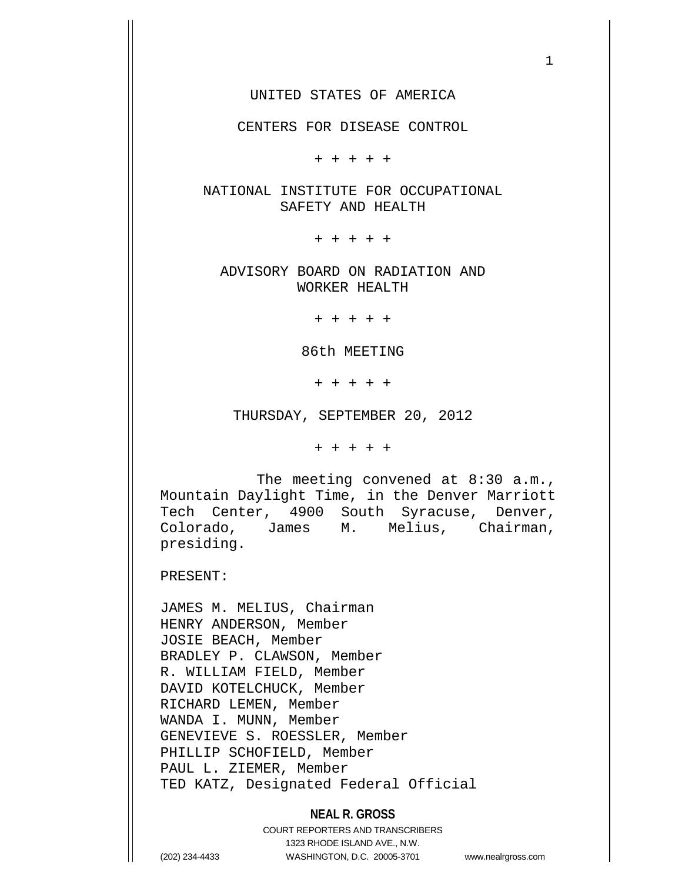1

CENTERS FOR DISEASE CONTROL

+ + + + +

NATIONAL INSTITUTE FOR OCCUPATIONAL SAFETY AND HEALTH

+ + + + +

ADVISORY BOARD ON RADIATION AND WORKER HEALTH

+ + + + +

86th MEETING

+ + + + +

THURSDAY, SEPTEMBER 20, 2012

+ + + + +

The meeting convened at 8:30 a.m., Mountain Daylight Time, in the Denver Marriott Tech Center, 4900 South Syracuse, Denver, Colorado, James M. Melius, Chairman, presiding.

PRESENT:

JAMES M. MELIUS, Chairman HENRY ANDERSON, Member JOSIE BEACH, Member BRADLEY P. CLAWSON, Member R. WILLIAM FIELD, Member DAVID KOTELCHUCK, Member RICHARD LEMEN, Member WANDA I. MUNN, Member GENEVIEVE S. ROESSLER, Member PHILLIP SCHOFIELD, Member PAUL L. ZIEMER, Member TED KATZ, Designated Federal Official

## **NEAL R. GROSS**

COURT REPORTERS AND TRANSCRIBERS 1323 RHODE ISLAND AVE., N.W. (202) 234-4433 WASHINGTON, D.C. 20005-3701 www.nealrgross.com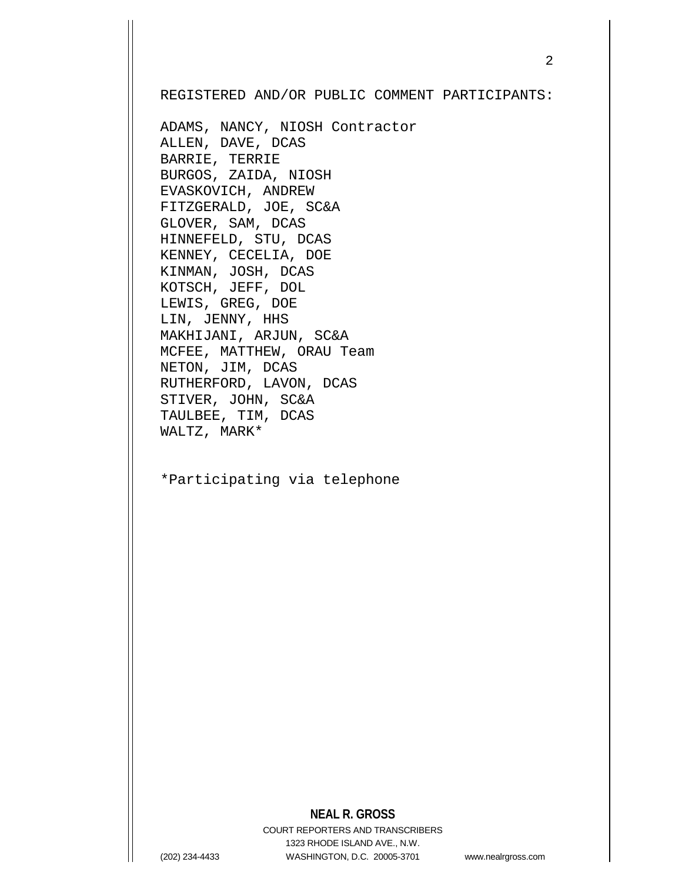REGISTERED AND/OR PUBLIC COMMENT PARTICIPANTS:

ADAMS, NANCY, NIOSH Contractor ALLEN, DAVE, DCAS BARRIE, TERRIE BURGOS, ZAIDA, NIOSH EVASKOVICH, ANDREW FITZGERALD, JOE, SC&A GLOVER, SAM, DCAS HINNEFELD, STU, DCAS KENNEY, CECELIA, DOE KINMAN, JOSH, DCAS KOTSCH, JEFF, DOL LEWIS, GREG, DOE LIN, JENNY, HHS MAKHIJANI, ARJUN, SC&A MCFEE, MATTHEW, ORAU Team NETON, JIM, DCAS RUTHERFORD, LAVON, DCAS STIVER, JOHN, SC&A TAULBEE, TIM, DCAS WALTZ, MARK\*

\*Participating via telephone

## **NEAL R. GROSS**

COURT REPORTERS AND TRANSCRIBERS 1323 RHODE ISLAND AVE., N.W. (202) 234-4433 WASHINGTON, D.C. 20005-3701 www.nealrgross.com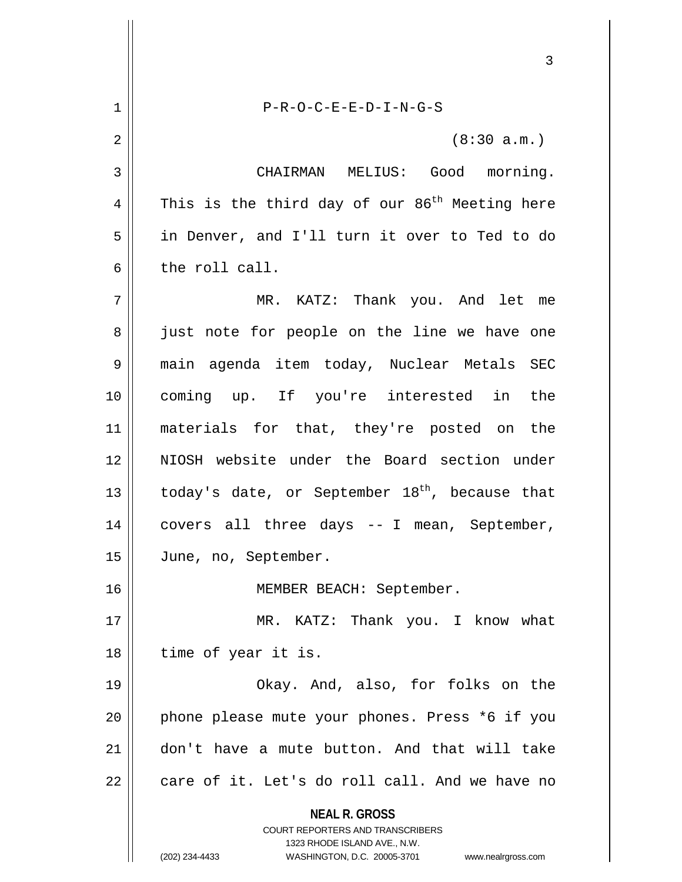**NEAL R. GROSS** COURT REPORTERS AND TRANSCRIBERS 1323 RHODE ISLAND AVE., N.W. (202) 234-4433 WASHINGTON, D.C. 20005-3701 www.nealrgross.com 1 P-R-O-C-E-E-D-I-N-G-S  $2 \parallel$  (8:30 a.m.) 3 CHAIRMAN MELIUS: Good morning. 4 This is the third day of our  $86^{\text{th}}$  Meeting here 5 | in Denver, and I'll turn it over to Ted to do 6 the roll call. 7 MR. KATZ: Thank you. And let me 8 || just note for people on the line we have one 9 main agenda item today, Nuclear Metals SEC 10 coming up. If you're interested in the 11 materials for that, they're posted on the 12 NIOSH website under the Board section under 13  $\parallel$  today's date, or September 18<sup>th</sup>, because that 14 covers all three days -- I mean, September, 15 June, no, September. 16 MEMBER BEACH: September. 17 || MR. KATZ: Thank you. I know what  $18$  | time of year it is. 19 Okay. And, also, for folks on the 20 || phone please mute your phones. Press \*6 if you 21 don't have a mute button. And that will take  $22$   $\parallel$  care of it. Let's do roll call. And we have no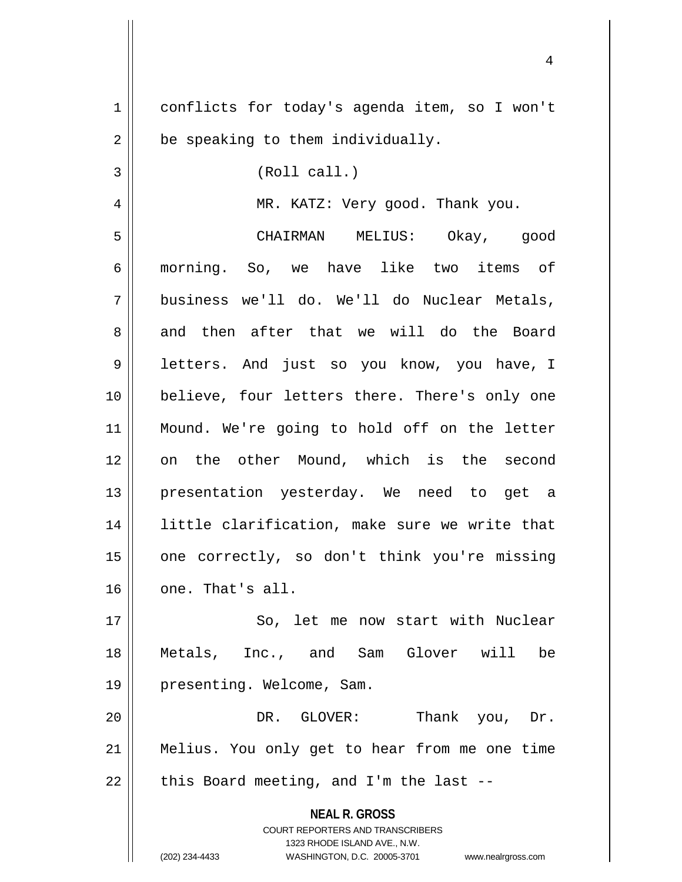1 | conflicts for today's agenda item, so I won't  $2 \parallel$  be speaking to them individually.

 $3 \parallel$  (Roll call.)

4 MR. KATZ: Very good. Thank you.

5 CHAIRMAN MELIUS: Okay, good 6 morning. So, we have like two items of 7 business we'll do. We'll do Nuclear Metals, 8 and then after that we will do the Board 9 letters. And just so you know, you have, I 10 || believe, four letters there. There's only one 11 Mound. We're going to hold off on the letter 12 on the other Mound, which is the second 13 || presentation yesterday. We need to get a 14 little clarification, make sure we write that 15 || one correctly, so don't think you're missing  $16$  |  $one.$  That's all.

17 || So, let me now start with Nuclear 18 Metals, Inc., and Sam Glover will be 19 | presenting. Welcome, Sam.

20 DR. GLOVER: Thank you, Dr. 21 Melius. You only get to hear from me one time  $22$  | this Board meeting, and I'm the last --

**NEAL R. GROSS**

COURT REPORTERS AND TRANSCRIBERS 1323 RHODE ISLAND AVE., N.W. (202) 234-4433 WASHINGTON, D.C. 20005-3701 www.nealrgross.com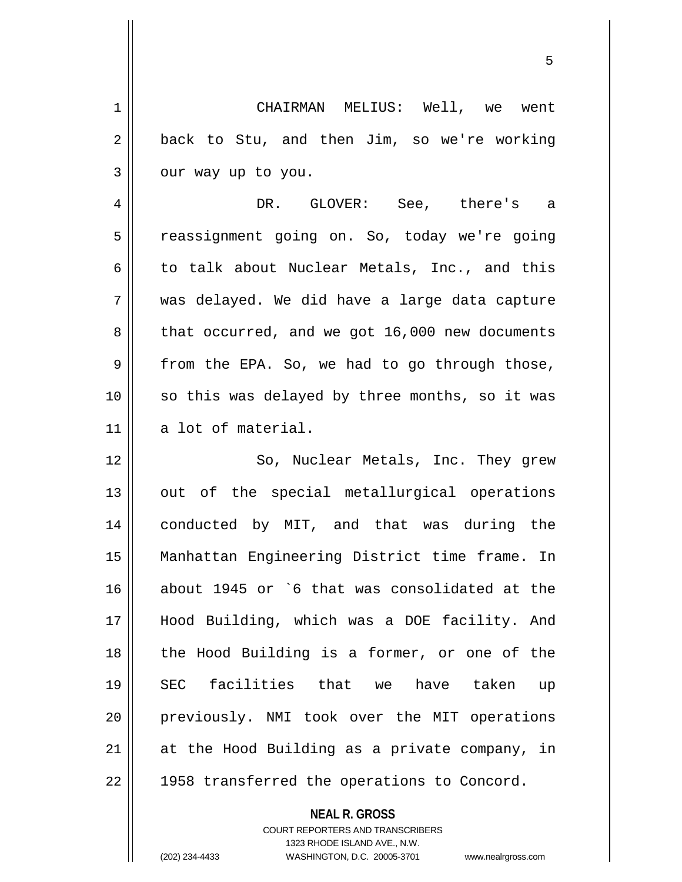1 CHAIRMAN MELIUS: Well, we went  $2 \parallel$  back to Stu, and then Jim, so we're working  $3 \parallel$  our way up to you.

4 DR. GLOVER: See, there's a 5 reassignment going on. So, today we're going 6 || to talk about Nuclear Metals, Inc., and this 7 was delayed. We did have a large data capture  $8 \parallel$  that occurred, and we got 16,000 new documents  $9 \parallel$  from the EPA. So, we had to go through those, 10 so this was delayed by three months, so it was 11 a lot of material.

12 || So, Nuclear Metals, Inc. They grew || out of the special metallurgical operations conducted by MIT, and that was during the Manhattan Engineering District time frame. In about 1945 or `6 that was consolidated at the Hood Building, which was a DOE facility. And the Hood Building is a former, or one of the SEC facilities that we have taken up previously. NMI took over the MIT operations at the Hood Building as a private company, in | 1958 transferred the operations to Concord.

**NEAL R. GROSS**

COURT REPORTERS AND TRANSCRIBERS 1323 RHODE ISLAND AVE., N.W. (202) 234-4433 WASHINGTON, D.C. 20005-3701 www.nealrgross.com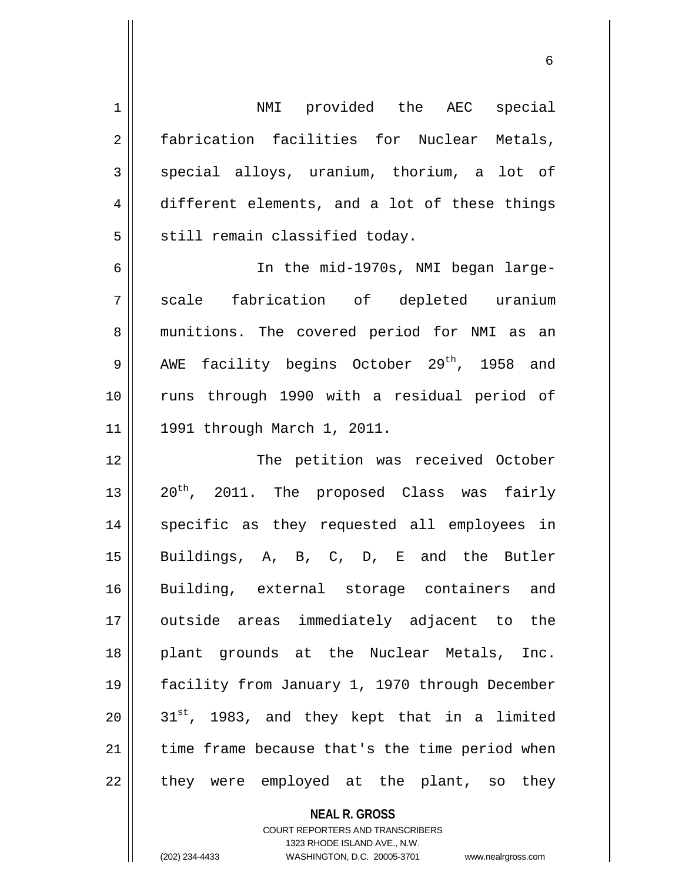1 | NMI provided the AEC special fabrication facilities for Nuclear Metals,  $3 \parallel$  special alloys, uranium, thorium, a lot of 4 different elements, and a lot of these things || still remain classified today. In the mid-1970s, NMI began large- scale fabrication of depleted uranium 8 || munitions. The covered period for NMI as an 9 ||  $\,$  AWE facility begins October 29<sup>th</sup>, 1958 and runs through 1990 with a residual period of 11 || 1991 through March 1, 2011. The petition was received October  $\vert$  20<sup>th</sup>, 2011. The proposed Class was fairly 14 || specific as they requested all employees in Buildings, A, B, C, D, E and the Butler Building, external storage containers and outside areas immediately adjacent to the plant grounds at the Nuclear Metals, Inc. facility from January 1, 1970 through December |  $31^{st}$ , 1983, and they kept that in a limited || time frame because that's the time period when || they were employed at the plant, so they

> **NEAL R. GROSS** COURT REPORTERS AND TRANSCRIBERS

> > 1323 RHODE ISLAND AVE., N.W.

(202) 234-4433 WASHINGTON, D.C. 20005-3701 www.nealrgross.com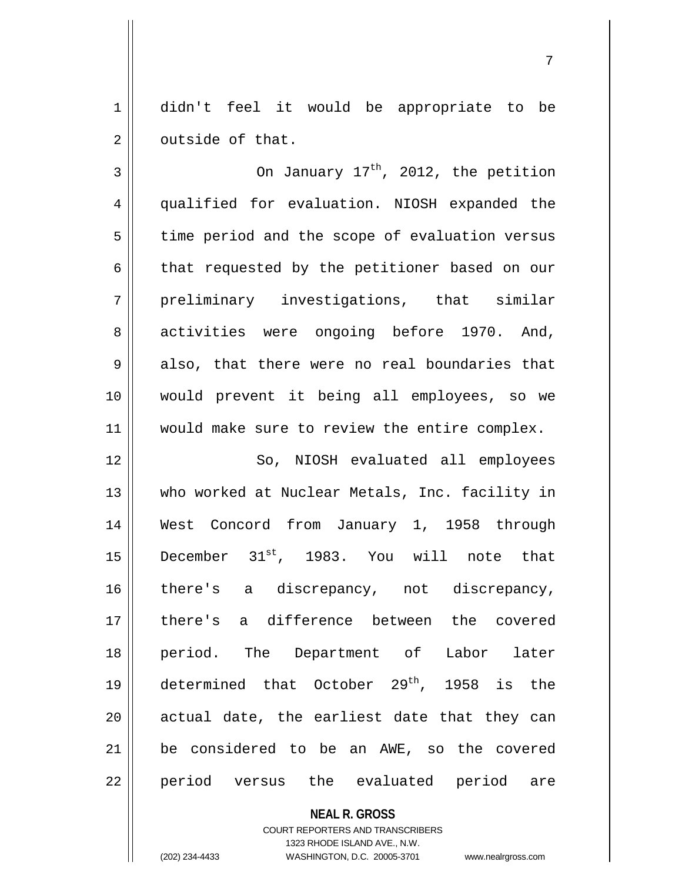1 didn't feel it would be appropriate to be 2 | outside of that.

 $3 \parallel$  0n January 17<sup>th</sup>, 2012, the petition 4 qualified for evaluation. NIOSH expanded the  $5 \parallel$  time period and the scope of evaluation versus  $6 \parallel$  that requested by the petitioner based on our 7 || preliminary investigations, that similar 8 activities were ongoing before 1970. And,  $9 \parallel$  also, that there were no real boundaries that 10 would prevent it being all employees, so we 11 || would make sure to review the entire complex.

12 || So, NIOSH evaluated all employees 13 || who worked at Nuclear Metals, Inc. facility in West Concord from January 1, 1958 through  $\parallel$  December 31<sup>st</sup>, 1983. You will note that 16 || there's a discrepancy, not discrepancy, there's a difference between the covered period. The Department of Labor later  $\parallel$  determined that October 29<sup>th</sup>, 1958 is the actual date, the earliest date that they can be considered to be an AWE, so the covered 22 || period versus the evaluated period are

> **NEAL R. GROSS** COURT REPORTERS AND TRANSCRIBERS 1323 RHODE ISLAND AVE., N.W.

(202) 234-4433 WASHINGTON, D.C. 20005-3701 www.nealrgross.com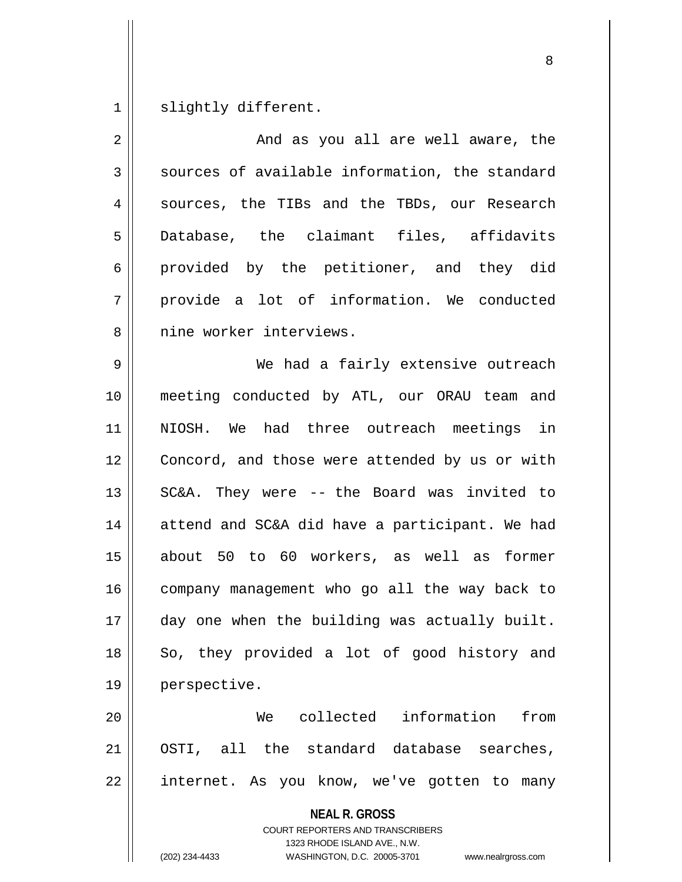slightly different.

| $\overline{2}$ | And as you all are well aware, the                                                                                                                                     |
|----------------|------------------------------------------------------------------------------------------------------------------------------------------------------------------------|
| 3              | sources of available information, the standard                                                                                                                         |
| 4              | sources, the TIBs and the TBDs, our Research                                                                                                                           |
| 5              | Database, the claimant files, affidavits                                                                                                                               |
| 6              | provided by the petitioner, and they did                                                                                                                               |
| 7              | provide a lot of information. We conducted                                                                                                                             |
| 8              | nine worker interviews.                                                                                                                                                |
| 9              | We had a fairly extensive outreach                                                                                                                                     |
| 10             | meeting conducted by ATL, our ORAU team and                                                                                                                            |
| 11             | NIOSH. We had three outreach meetings in                                                                                                                               |
| 12             | Concord, and those were attended by us or with                                                                                                                         |
| 13             | SC&A. They were -- the Board was invited to                                                                                                                            |
| 14             | attend and SC&A did have a participant. We had                                                                                                                         |
| 15             | about 50 to 60 workers, as well as former                                                                                                                              |
| 16             | company management who go all the way back to                                                                                                                          |
| 17             | day one when the building was actually built.                                                                                                                          |
| 18             | So, they provided a lot of good history and                                                                                                                            |
| 19             | perspective.                                                                                                                                                           |
| 20             | We collected information<br>from                                                                                                                                       |
| 21             | OSTI, all the standard database searches,                                                                                                                              |
| 22             | internet. As you know, we've gotten to many                                                                                                                            |
|                | <b>NEAL R. GROSS</b><br><b>COURT REPORTERS AND TRANSCRIBERS</b><br>1323 RHODE ISLAND AVE., N.W.<br>(202) 234-4433<br>WASHINGTON, D.C. 20005-3701<br>www.nealrgross.com |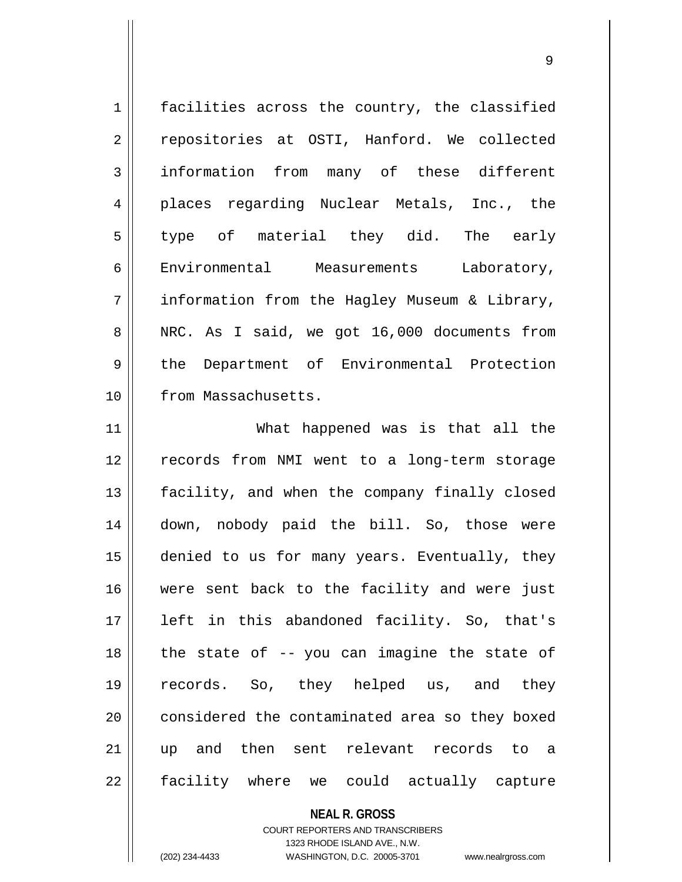| $\mathbf 1$    | facilities across the country, the classified  |
|----------------|------------------------------------------------|
| $\overline{2}$ | repositories at OSTI, Hanford. We collected    |
| 3              | information from many of these different       |
| 4              | places regarding Nuclear Metals, Inc., the     |
| 5              | type of material they did. The early           |
| 6              | Environmental Measurements Laboratory,         |
| 7              | information from the Hagley Museum & Library,  |
| 8              | NRC. As I said, we got 16,000 documents from   |
| $\mathsf 9$    | the Department of Environmental Protection     |
| 10             | from Massachusetts.                            |
| 11             | What happened was is that all the              |
| 12             | records from NMI went to a long-term storage   |
| 13             | facility, and when the company finally closed  |
| 14             | down, nobody paid the bill. So, those were     |
| 15             | denied to us for many years. Eventually, they  |
| 16             | were sent back to the facility and were just   |
| 17             | left in this abandoned facility. So, that's    |
| 18             | the state of -- you can imagine the state of   |
| 19             | records. So, they helped us, and they          |
| 20             | considered the contaminated area so they boxed |
| 21             | up and then sent relevant records to a         |
| 22             | facility where we could actually capture       |

**NEAL R. GROSS** COURT REPORTERS AND TRANSCRIBERS 1323 RHODE ISLAND AVE., N.W. (202) 234-4433 WASHINGTON, D.C. 20005-3701 www.nealrgross.com

 $\mathsf{I}$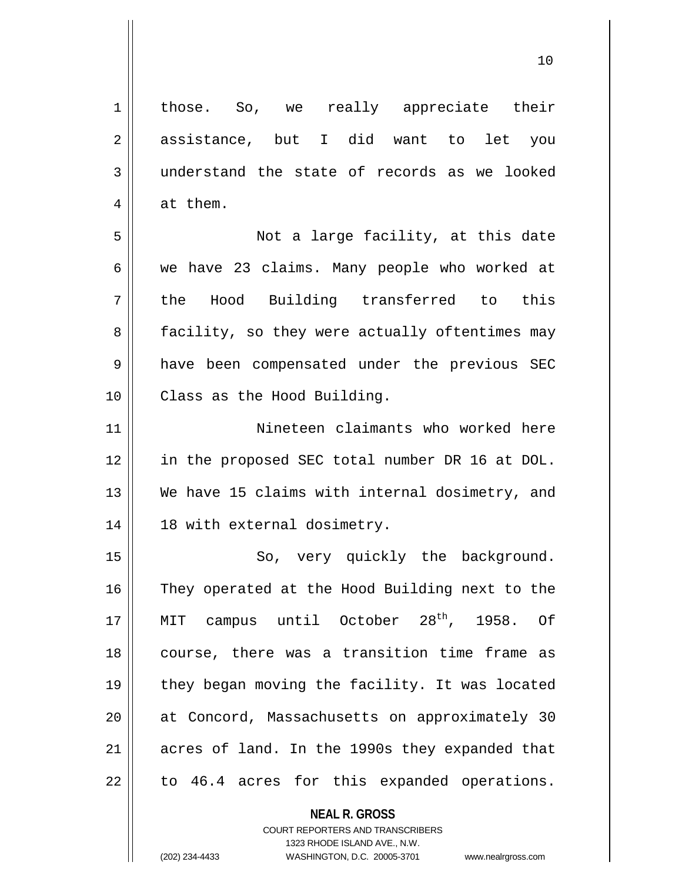1 | those. So, we really appreciate their 2 assistance, but I did want to let you 3 understand the state of records as we looked  $4 \parallel$  at them. 5 Not a large facility, at this date 6  $\parallel$  we have 23 claims. Many people who worked at 7 the Hood Building transferred to this 8 || facility, so they were actually oftentimes may 9 || have been compensated under the previous SEC 10 | Class as the Hood Building. 11 Nineteen claimants who worked here 12 in the proposed SEC total number DR 16 at DOL. 13 We have 15 claims with internal dosimetry, and 14 || 18 with external dosimetry. 15 || So, very quickly the background. 16 || They operated at the Hood Building next to the 17 || MIT campus until October  $28<sup>th</sup>$ , 1958. Of 18 course, there was a transition time frame as 19 || they began moving the facility. It was located 20 at Concord, Massachusetts on approximately 30 21 | acres of land. In the 1990s they expanded that  $22$  | to 46.4 acres for this expanded operations.

> **NEAL R. GROSS** COURT REPORTERS AND TRANSCRIBERS 1323 RHODE ISLAND AVE., N.W.

(202) 234-4433 WASHINGTON, D.C. 20005-3701 www.nealrgross.com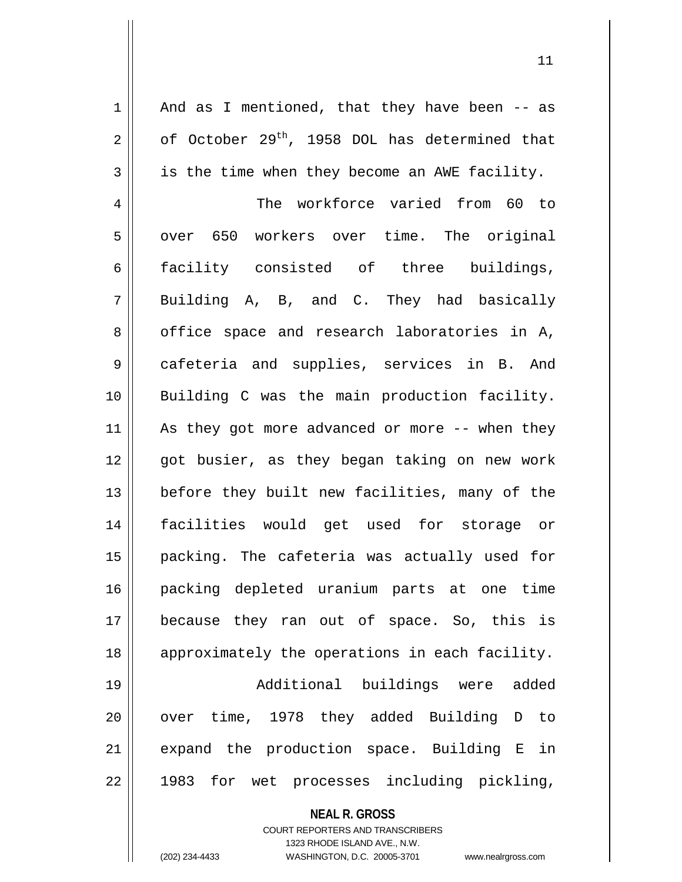$1 \parallel$  And as I mentioned, that they have been -- as  $2 \parallel$  of October 29<sup>th</sup>, 1958 DOL has determined that  $3 \parallel$  is the time when they become an AWE facility.

4 || The workforce varied from 60 to 5 | over 650 workers over time. The original 6 facility consisted of three buildings,  $7 \parallel$  Building A, B, and C. They had basically 8 || office space and research laboratories in A, 9 cafeteria and supplies, services in B. And 10 || Building C was the main production facility. 11 || As they got more advanced or more -- when they 12 || qot busier, as they began taking on new work 13 || before they built new facilities, many of the 14 facilities would get used for storage or 15 packing. The cafeteria was actually used for 16 packing depleted uranium parts at one time 17 because they ran out of space. So, this is 18 || approximately the operations in each facility. 19 Additional buildings were added 20 || over time, 1978 they added Building D to  $21$  expand the production space. Building E in

22 || 1983 for wet processes including pickling,

**NEAL R. GROSS** COURT REPORTERS AND TRANSCRIBERS 1323 RHODE ISLAND AVE., N.W.

(202) 234-4433 WASHINGTON, D.C. 20005-3701 www.nealrgross.com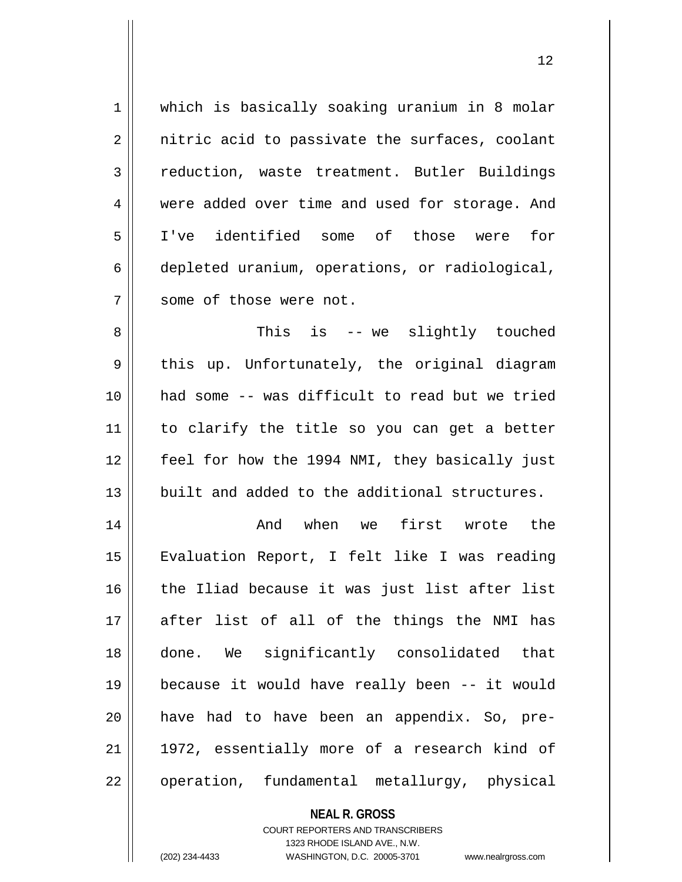1 which is basically soaking uranium in 8 molar  $2 \parallel$  nitric acid to passivate the surfaces, coolant 3 | reduction, waste treatment. Butler Buildings 4 were added over time and used for storage. And 5 I've identified some of those were for 6 depleted uranium, operations, or radiological, 7 || some of those were not.

 This is -- we slightly touched  $9 \parallel$  this up. Unfortunately, the original diagram had some -- was difficult to read but we tried to clarify the title so you can get a better feel for how the 1994 NMI, they basically just 13 || built and added to the additional structures.

 And when we first wrote the Evaluation Report, I felt like I was reading 16 the Iliad because it was just list after list || after list of all of the things the NMI has done. We significantly consolidated that because it would have really been -- it would have had to have been an appendix. So, pre- || 1972, essentially more of a research kind of 22 || operation, fundamental metallurgy, physical

> **NEAL R. GROSS** COURT REPORTERS AND TRANSCRIBERS 1323 RHODE ISLAND AVE., N.W. (202) 234-4433 WASHINGTON, D.C. 20005-3701 www.nealrgross.com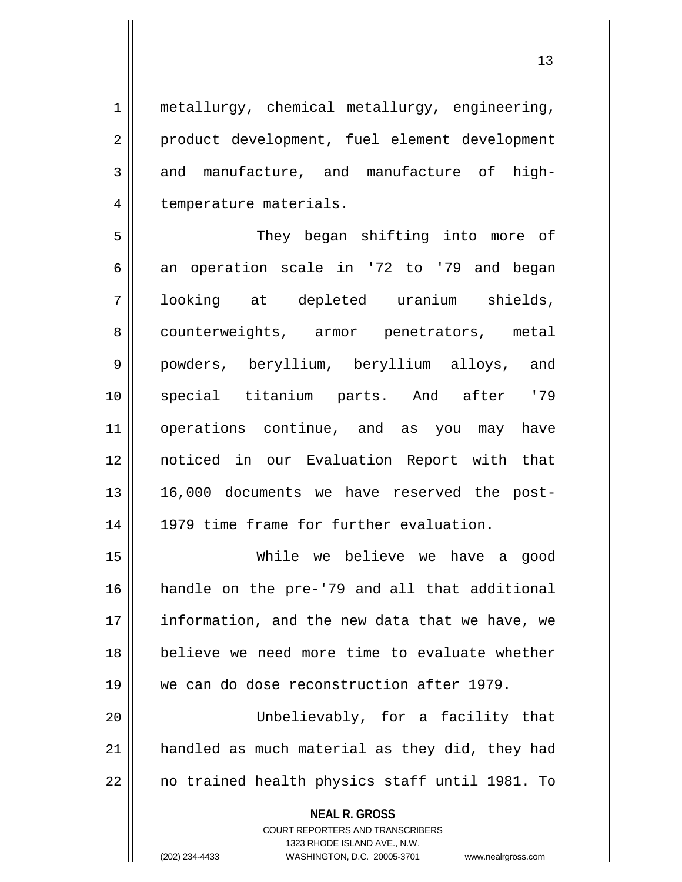1 metallurgy, chemical metallurgy, engineering, 2 | product development, fuel element development  $3 \parallel$  and manufacture, and manufacture of high-4 | temperature materials.

5 || They began shifting into more of 6 an operation scale in '72 to '79 and began 7 looking at depleted uranium shields, 8 counterweights, armor penetrators, metal 9 || powders, beryllium, beryllium alloys, and 10 special titanium parts. And after '79 11 operations continue, and as you may have 12 noticed in our Evaluation Report with that 13 16,000 documents we have reserved the post-14 || 1979 time frame for further evaluation.

 While we believe we have a good handle on the pre-'79 and all that additional 17 || information, and the new data that we have, we believe we need more time to evaluate whether we can do dose reconstruction after 1979. Unbelievably, for a facility that

21 || handled as much material as they did, they had  $22$  || no trained health physics staff until 1981. To

> **NEAL R. GROSS** COURT REPORTERS AND TRANSCRIBERS 1323 RHODE ISLAND AVE., N.W.

(202) 234-4433 WASHINGTON, D.C. 20005-3701 www.nealrgross.com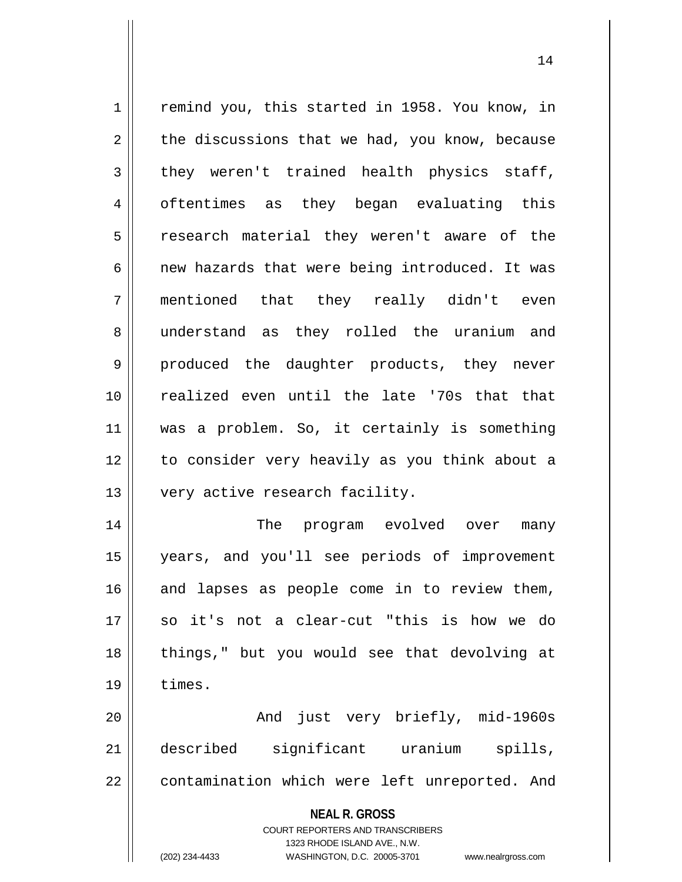1 | remind you, this started in 1958. You know, in  $2 \parallel$  the discussions that we had, you know, because  $3 \parallel$  they weren't trained health physics staff, 4 || oftentimes as they began evaluating this 5 || research material they weren't aware of the  $6$  || new hazards that were being introduced. It was 7 mentioned that they really didn't even 8 || understand as they rolled the uranium and 9 || produced the daughter products, they never 10 realized even until the late '70s that that 11 was a problem. So, it certainly is something 12 to consider very heavily as you think about a 13 | very active research facility. 14 The program evolved over many 15 years, and you'll see periods of improvement  $16$  and lapses as people come in to review them, 17 so it's not a clear-cut "this is how we do 18 || things," but you would see that devolving at 19 times. 20 And just very briefly, mid-1960s 21 described significant uranium spills, 22 || contamination which were left unreported. And

**NEAL R. GROSS**

COURT REPORTERS AND TRANSCRIBERS 1323 RHODE ISLAND AVE., N.W. (202) 234-4433 WASHINGTON, D.C. 20005-3701 www.nealrgross.com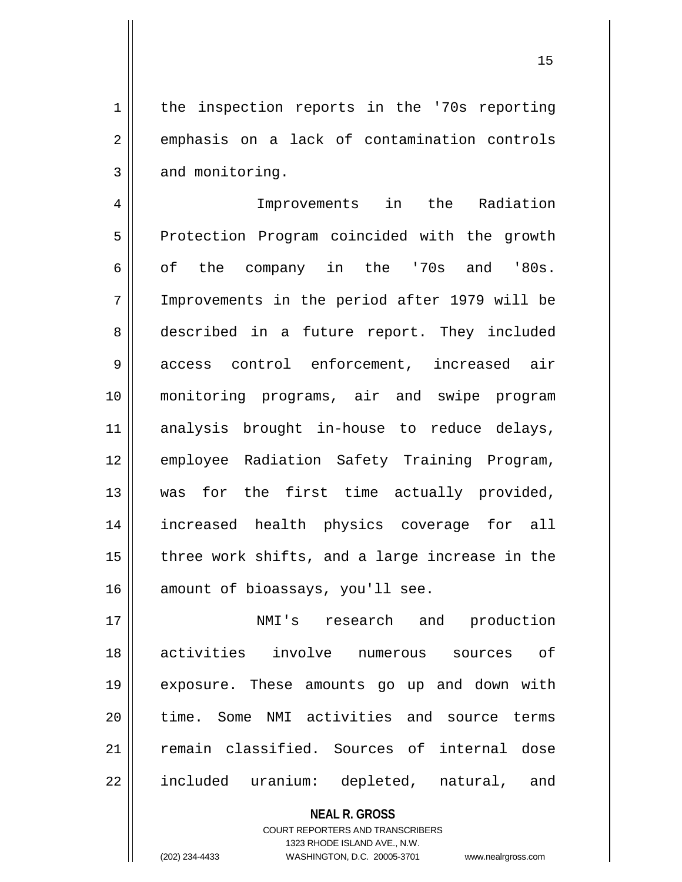1 | the inspection reports in the '70s reporting 2 emphasis on a lack of contamination controls  $3 \parallel$  and monitoring.

 Improvements in the Radiation 5 | Protection Program coincided with the growth  $6 \parallel$  of the company in the '70s and '80s. Improvements in the period after 1979 will be 8 described in a future report. They included 9 access control enforcement, increased air monitoring programs, air and swipe program analysis brought in-house to reduce delays, employee Radiation Safety Training Program, was for the first time actually provided, increased health physics coverage for all  $\parallel$  three work shifts, and a large increase in the 16 amount of bioassays, you'll see.

 NMI's research and production activities involve numerous sources of exposure. These amounts go up and down with 20 || time. Some NMI activities and source terms remain classified. Sources of internal dose 22 || included uranium: depleted, natural, and

> **NEAL R. GROSS** COURT REPORTERS AND TRANSCRIBERS 1323 RHODE ISLAND AVE., N.W.

(202) 234-4433 WASHINGTON, D.C. 20005-3701 www.nealrgross.com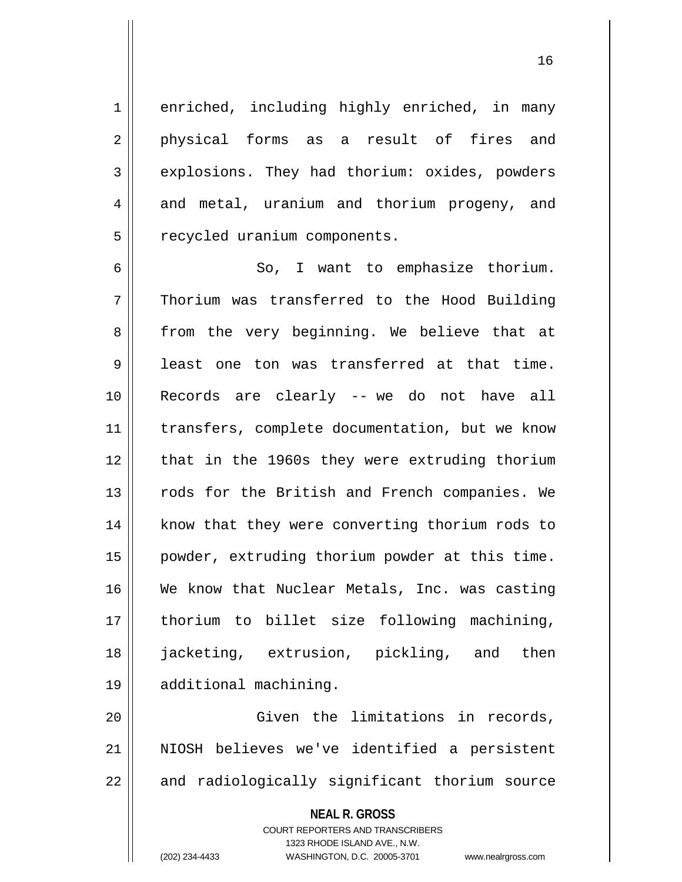1 | enriched, including highly enriched, in many 2 || physical forms as a result of fires and 3 explosions. They had thorium: oxides, powders 4 and metal, uranium and thorium progeny, and 5 | recycled uranium components.

6 So, I want to emphasize thorium. 7 Thorium was transferred to the Hood Building 8 || from the very beginning. We believe that at 9 least one ton was transferred at that time. 10 Records are clearly -- we do not have all 11 || transfers, complete documentation, but we know 12 || that in the 1960s they were extruding thorium 13 || rods for the British and French companies. We 14 || know that they were converting thorium rods to 15 | powder, extruding thorium powder at this time. 16 We know that Nuclear Metals, Inc. was casting 17 thorium to billet size following machining, 18 jacketing, extrusion, pickling, and then 19 additional machining.

20 Given the limitations in records, 21 NIOSH believes we've identified a persistent 22 || and radiologically significant thorium source

> **NEAL R. GROSS** COURT REPORTERS AND TRANSCRIBERS 1323 RHODE ISLAND AVE., N.W.

(202) 234-4433 WASHINGTON, D.C. 20005-3701 www.nealrgross.com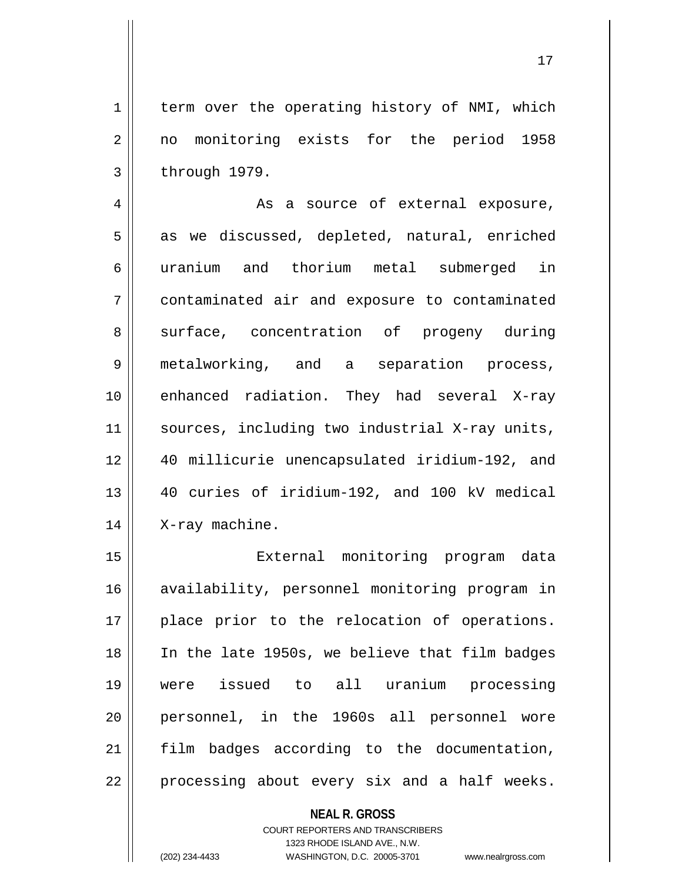$1 \parallel$  term over the operating history of NMI, which 2 no monitoring exists for the period 1958  $3 \parallel$  through 1979.

4 || As a source of external exposure,  $5 \parallel$  as we discussed, depleted, natural, enriched 6 uranium and thorium metal submerged in 7 contaminated air and exposure to contaminated 8 surface, concentration of progeny during 9 metalworking, and a separation process, 10 || enhanced radiation. They had several X-ray 11 || sources, including two industrial X-ray units, 12 40 millicurie unencapsulated iridium-192, and 13 40 curies of iridium-192, and 100 kV medical 14 | X-ray machine.

 External monitoring program data availability, personnel monitoring program in 17 || place prior to the relocation of operations. In the late 1950s, we believe that film badges were issued to all uranium processing personnel, in the 1960s all personnel wore 21 || film badges according to the documentation, | processing about every six and a half weeks.

> **NEAL R. GROSS** COURT REPORTERS AND TRANSCRIBERS 1323 RHODE ISLAND AVE., N.W. (202) 234-4433 WASHINGTON, D.C. 20005-3701 www.nealrgross.com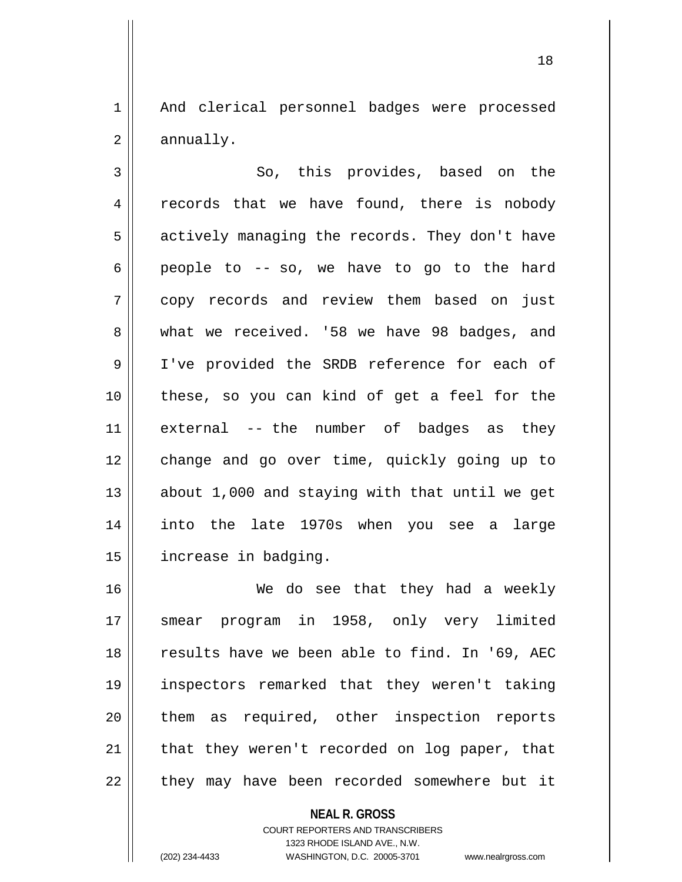1 || And clerical personnel badges were processed  $2 \parallel$  annually.

3 || So, this provides, based on the  $4 \parallel$  records that we have found, there is nobody  $5 \parallel$  actively managing the records. They don't have  $6 \parallel$  people to -- so, we have to go to the hard 7 copy records and review them based on just 8 what we received. '58 we have 98 badges, and 9 || I've provided the SRDB reference for each of 10 these, so you can kind of get a feel for the 11 external -- the number of badges as they 12 change and go over time, quickly going up to 13 about 1,000 and staying with that until we get 14 into the late 1970s when you see a large 15 | increase in badging.

16 We do see that they had a weekly 17 || smear program in 1958, only very limited 18 || results have we been able to find. In '69, AEC 19 inspectors remarked that they weren't taking 20 || them as required, other inspection reports  $21$  | that they weren't recorded on log paper, that  $22$  || they may have been recorded somewhere but it

**NEAL R. GROSS**

COURT REPORTERS AND TRANSCRIBERS 1323 RHODE ISLAND AVE., N.W. (202) 234-4433 WASHINGTON, D.C. 20005-3701 www.nealrgross.com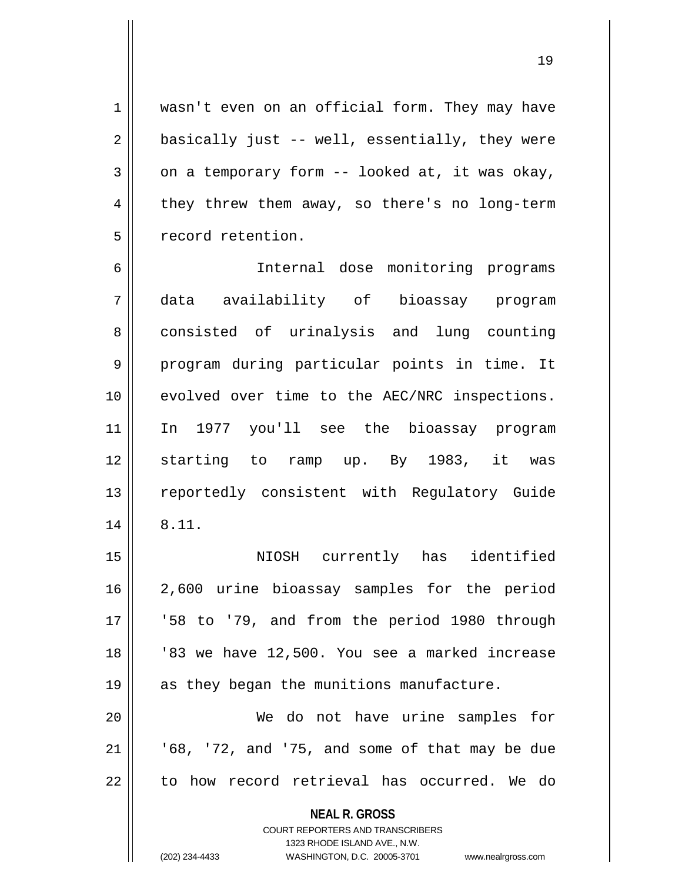1 wasn't even on an official form. They may have  $2 \parallel$  basically just -- well, essentially, they were  $3 \parallel$  on a temporary form -- looked at, it was okay,  $4 \parallel$  they threw them away, so there's no long-term 5 | record retention.

6 Internal dose monitoring programs 7 data availability of bioassay program 8 | consisted of urinalysis and lung counting 9 || program during particular points in time. It 10 || evolved over time to the AEC/NRC inspections. 11 In 1977 you'll see the bioassay program 12 Starting to ramp up. By 1983, it was 13 || reportedly consistent with Regulatory Guide  $14 \parallel 8.11.$ 

 NIOSH currently has identified 2,600 urine bioassay samples for the period ||  $158$  to  $179$ , and from the period 1980 through 18 || 183 we have 12,500. You see a marked increase 19 || as they began the munitions manufacture. We do not have urine samples for

 $21$  |  $\sqrt{68}$ , '72, and '75, and some of that may be due  $22$  | to how record retrieval has occurred. We do

> **NEAL R. GROSS** COURT REPORTERS AND TRANSCRIBERS

> > 1323 RHODE ISLAND AVE., N.W.

(202) 234-4433 WASHINGTON, D.C. 20005-3701 www.nealrgross.com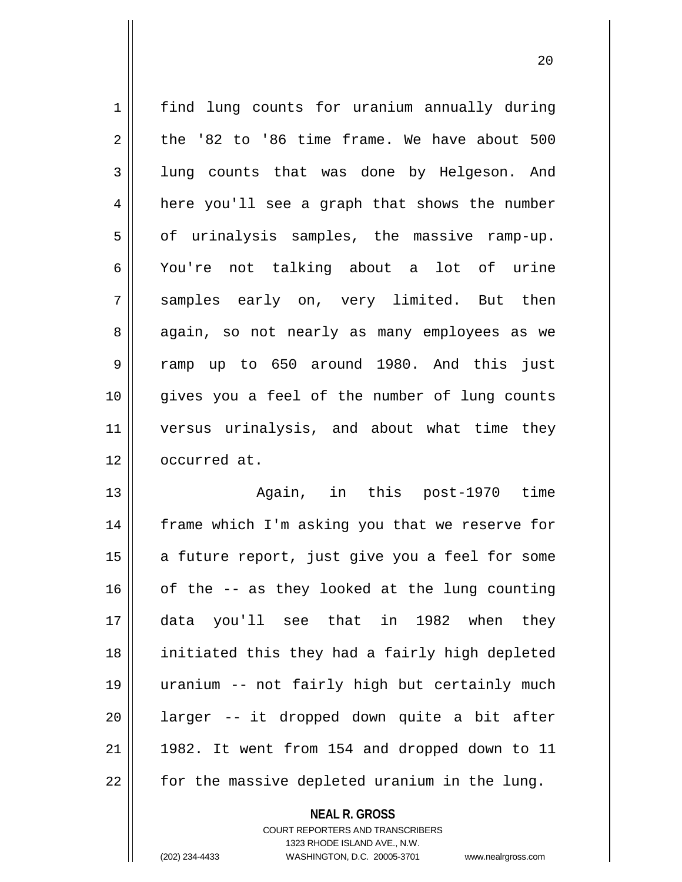| $\mathbf 1$    | find lung counts for uranium annually during   |
|----------------|------------------------------------------------|
|                |                                                |
| $\overline{2}$ | the '82 to '86 time frame. We have about 500   |
| 3              | lung counts that was done by Helgeson. And     |
| 4              | here you'll see a graph that shows the number  |
| 5              | of urinalysis samples, the massive ramp-up.    |
| 6              | You're not talking about a lot of urine        |
| 7              | samples early on, very limited. But then       |
| 8              | again, so not nearly as many employees as we   |
| $\mathsf 9$    | ramp up to 650 around 1980. And this just      |
| 10             | gives you a feel of the number of lung counts  |
| 11             | versus urinalysis, and about what time they    |
| 12             | occurred at.                                   |
| 13             | Again, in this post-1970 time                  |
| 14             | frame which I'm asking you that we reserve for |
| 15             | a future report, just give you a feel for some |
| 16             | of the -- as they looked at the lung counting  |
| 17             | data you'll see that in 1982 when they         |
| 18             | initiated this they had a fairly high depleted |
| 19             | uranium -- not fairly high but certainly much  |
| 20             | larger -- it dropped down quite a bit after    |
| 21             | 1982. It went from 154 and dropped down to 11  |
| 22             | for the massive depleted uranium in the lung.  |

**NEAL R. GROSS** COURT REPORTERS AND TRANSCRIBERS

1323 RHODE ISLAND AVE., N.W. (202) 234-4433 WASHINGTON, D.C. 20005-3701 www.nealrgross.com

 $\mathsf{I}$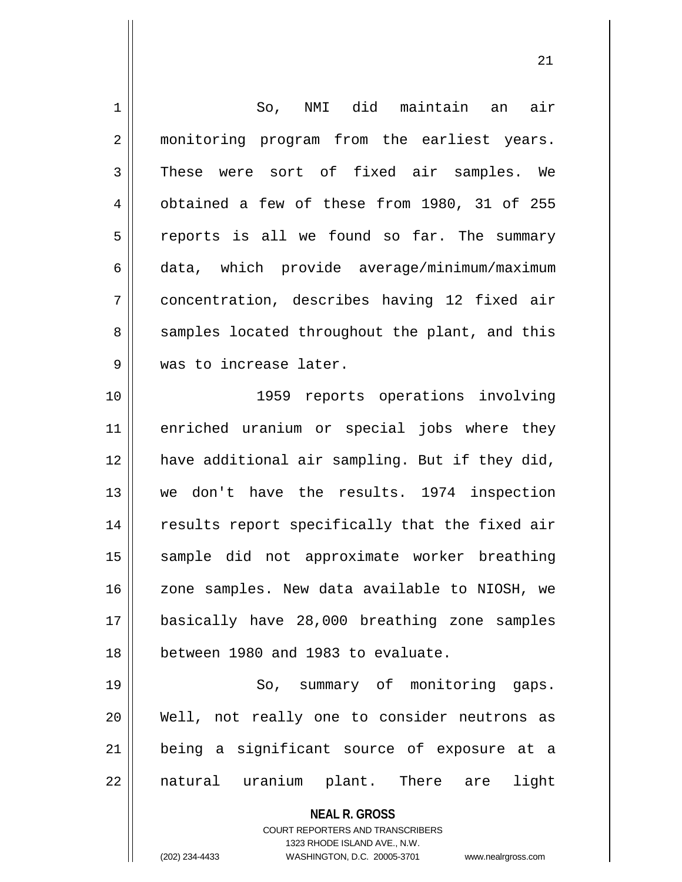| $\mathbf 1$    | So, NMI did maintain an air                                             |
|----------------|-------------------------------------------------------------------------|
| $\overline{2}$ | monitoring program from the earliest years.                             |
| 3              | These were sort of fixed air samples. We                                |
| $\overline{4}$ | obtained a few of these from 1980, 31 of 255                            |
| 5              | reports is all we found so far. The summary                             |
| 6              | data, which provide average/minimum/maximum                             |
| 7              | concentration, describes having 12 fixed air                            |
| 8              | samples located throughout the plant, and this                          |
| 9              | was to increase later.                                                  |
| 10             | 1959 reports operations involving                                       |
| 11             | enriched uranium or special jobs where they                             |
| 12             | have additional air sampling. But if they did,                          |
| 13             | we don't have the results. 1974 inspection                              |
| 14             | results report specifically that the fixed air                          |
| 15             | sample did not approximate worker breathing                             |
| 16             | zone samples. New data available to NIOSH, we                           |
| 17             | basically have 28,000 breathing zone samples                            |
| 18             | between 1980 and 1983 to evaluate.                                      |
| 19             | So, summary of monitoring gaps.                                         |
| 20             | Well, not really one to consider neutrons as                            |
| 21             | being a significant source of exposure at a                             |
| 22             | natural uranium plant. There are light                                  |
|                | <b>NEAL R. GROSS</b>                                                    |
|                | <b>COURT REPORTERS AND TRANSCRIBERS</b><br>1323 RHODE ISLAND AVE., N.W. |
|                | (202) 234-4433<br>WASHINGTON, D.C. 20005-3701<br>www.nealrgross.com     |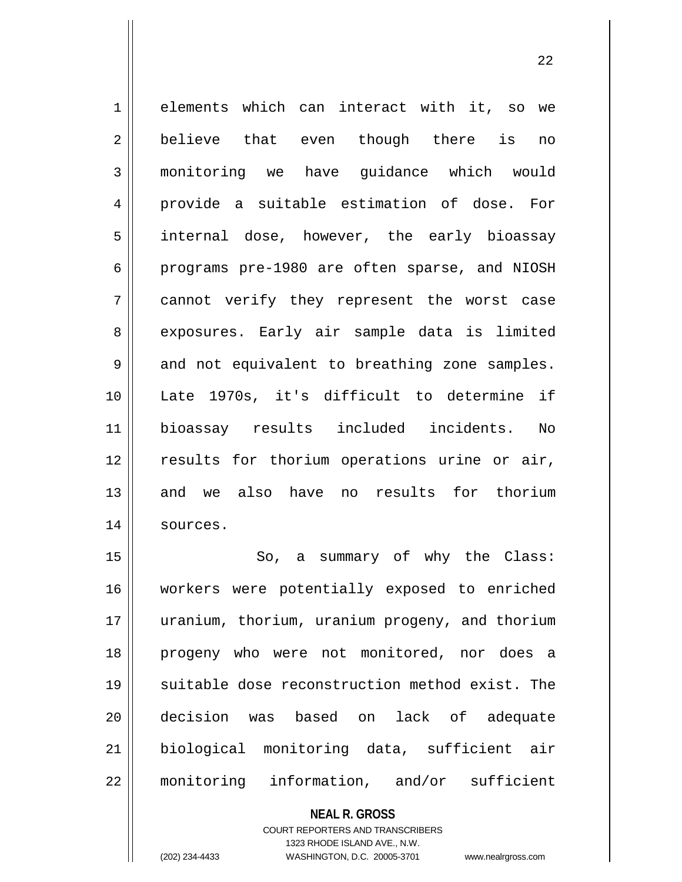1 elements which can interact with it, so we 2 believe that even though there is no 3 monitoring we have guidance which would 4 || provide a suitable estimation of dose. For 5 || internal dose, however, the early bioassay 6 programs pre-1980 are often sparse, and NIOSH 7 cannot verify they represent the worst case 8 || exposures. Early air sample data is limited  $9 \parallel$  and not equivalent to breathing zone samples. 10 Late 1970s, it's difficult to determine if 11 bioassay results included incidents. No 12 || results for thorium operations urine or air, 13 and we also have no results for thorium 14 || sources.

15 || So, a summary of why the Class: workers were potentially exposed to enriched uranium, thorium, uranium progeny, and thorium 18 || progeny who were not monitored, nor does a 19 || suitable dose reconstruction method exist. The decision was based on lack of adequate biological monitoring data, sufficient air monitoring information, and/or sufficient

> **NEAL R. GROSS** COURT REPORTERS AND TRANSCRIBERS 1323 RHODE ISLAND AVE., N.W. (202) 234-4433 WASHINGTON, D.C. 20005-3701 www.nealrgross.com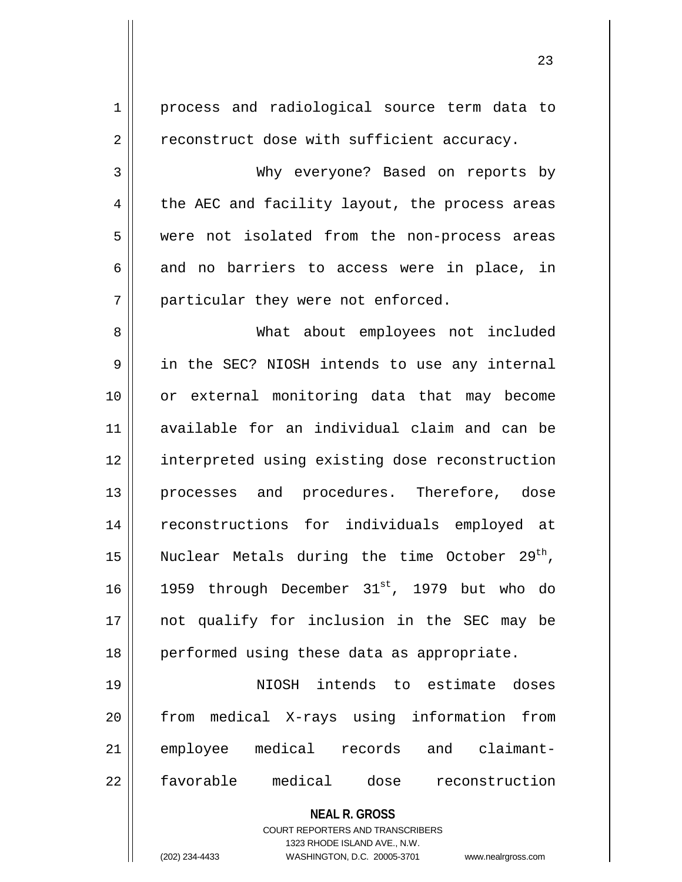| $\mathbf 1$ | process and radiological source term data to              |
|-------------|-----------------------------------------------------------|
| 2           | reconstruct dose with sufficient accuracy.                |
| 3           | Why everyone? Based on reports by                         |
| 4           | the AEC and facility layout, the process areas            |
| 5           | were not isolated from the non-process areas              |
| 6           | and no barriers to access were in place, in               |
| 7           | particular they were not enforced.                        |
| 8           | What about employees not included                         |
| 9           | in the SEC? NIOSH intends to use any internal             |
| 10          | or external monitoring data that may become               |
| 11          | available for an individual claim and can be              |
| 12          | interpreted using existing dose reconstruction            |
| 13          | processes and procedures. Therefore, dose                 |
| 14          | reconstructions for individuals employed at               |
| 15          | Nuclear Metals during the time October 29 <sup>th</sup> , |
| 16          | 1959 through December 31 <sup>st</sup> , 1979 but who do  |
| 17          | not qualify for inclusion in the SEC may be               |
| 18          | performed using these data as appropriate.                |
| 19          | NIOSH intends to estimate doses                           |
| 20          | from medical X-rays using information<br>from             |
| 21          | employee medical records and claimant-                    |
| 22          | favorable medical dose reconstruction                     |
|             | <b>NEAL R. GROSS</b><br>COURT REPORTERS AND TRANSCRIBERS  |

1323 RHODE ISLAND AVE., N.W.

 $\begin{array}{c} \hline \end{array}$ 

(202) 234-4433 WASHINGTON, D.C. 20005-3701 www.nealrgross.com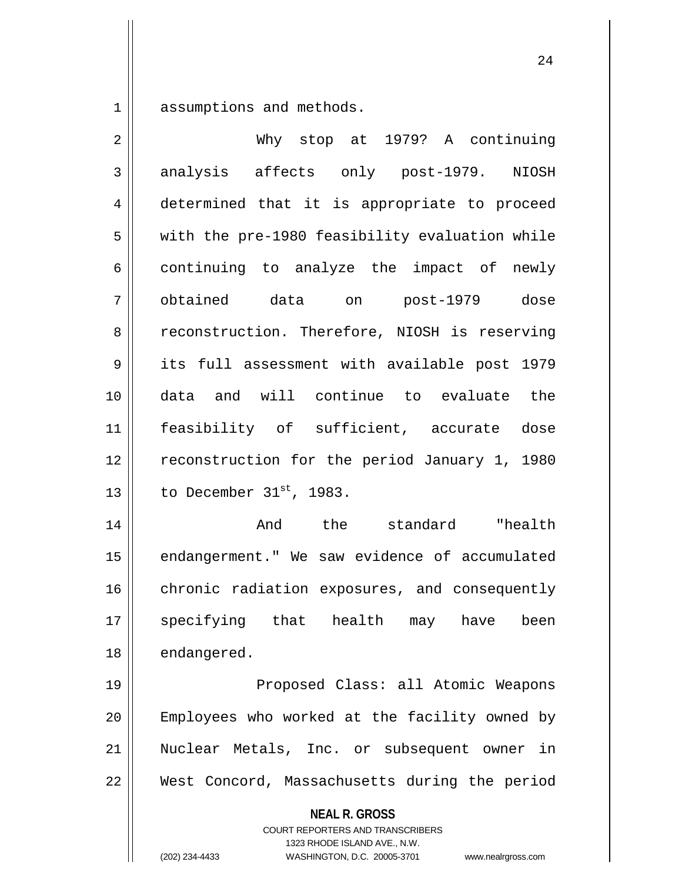1 assumptions and methods.

| $\overline{2}$ | Why stop at 1979? A continuing                                                                                                                                  |
|----------------|-----------------------------------------------------------------------------------------------------------------------------------------------------------------|
| 3              | analysis affects only post-1979. NIOSH                                                                                                                          |
| $\overline{4}$ | determined that it is appropriate to proceed                                                                                                                    |
| 5              | with the pre-1980 feasibility evaluation while                                                                                                                  |
| 6              | continuing to analyze the impact of newly                                                                                                                       |
| 7              | obtained data on post-1979 dose                                                                                                                                 |
| 8              | reconstruction. Therefore, NIOSH is reserving                                                                                                                   |
| 9              | its full assessment with available post 1979                                                                                                                    |
| 10             | and will continue to evaluate the<br>data                                                                                                                       |
| 11             | feasibility of sufficient, accurate dose                                                                                                                        |
| 12             | reconstruction for the period January 1, 1980                                                                                                                   |
| 13             | to December $31^{st}$ , 1983.                                                                                                                                   |
| 14             | And the standard "health                                                                                                                                        |
| 15             | endangerment." We saw evidence of accumulated                                                                                                                   |
| 16             | chronic radiation exposures, and consequently                                                                                                                   |
| 17             | specifying that health may have been                                                                                                                            |
| 18             | endangered.                                                                                                                                                     |
| 19             | Proposed Class: all Atomic Weapons                                                                                                                              |
| 20             | Employees who worked at the facility owned by                                                                                                                   |
| 21             | Nuclear Metals, Inc. or subsequent owner in                                                                                                                     |
| 22             | West Concord, Massachusetts during the period                                                                                                                   |
|                | <b>NEAL R. GROSS</b><br>COURT REPORTERS AND TRANSCRIBERS<br>1323 RHODE ISLAND AVE., N.W.<br>(202) 234-4433<br>WASHINGTON, D.C. 20005-3701<br>www.nealrgross.com |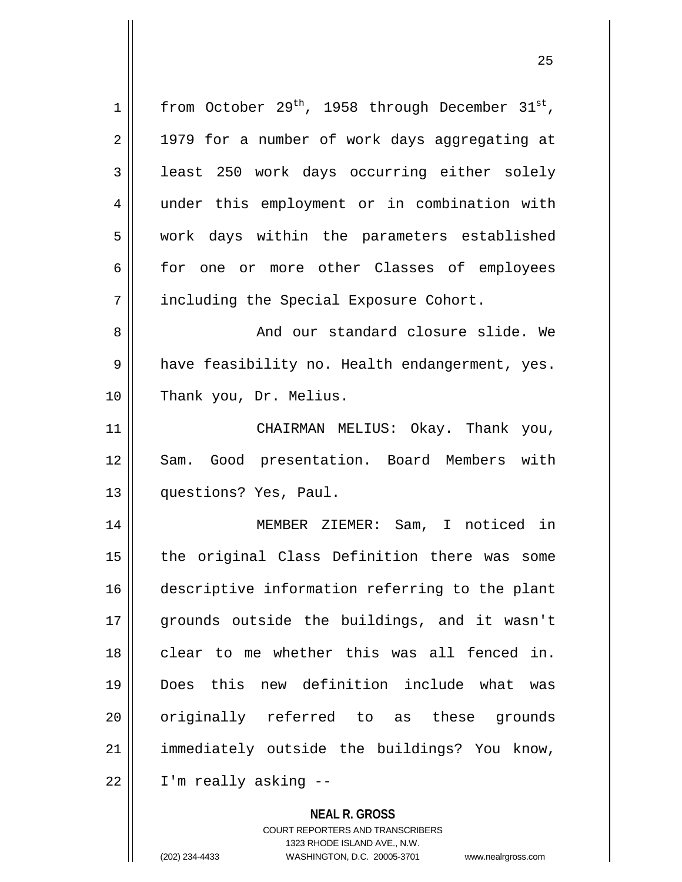| $\mathbf{1}$ | from October 29 <sup>th</sup> , 1958 through December 31 <sup>st</sup> , |
|--------------|--------------------------------------------------------------------------|
| 2            | 1979 for a number of work days aggregating at                            |
| 3            | least 250 work days occurring either solely                              |
| 4            | under this employment or in combination with                             |
| 5            | work days within the parameters established                              |
| 6            | for one or more other Classes of employees                               |
| 7            | including the Special Exposure Cohort.                                   |
| 8            | And our standard closure slide. We                                       |
| 9            | have feasibility no. Health endangerment, yes.                           |
| 10           | Thank you, Dr. Melius.                                                   |
| 11           | CHAIRMAN MELIUS: Okay. Thank you,                                        |
| 12           | Sam. Good presentation. Board Members with                               |
| 13           | questions? Yes, Paul.                                                    |
| 14           | MEMBER ZIEMER: Sam, I noticed in                                         |
| 15           | the original Class Definition there was some                             |
| 16           | descriptive information referring to the plant                           |
| 17           | grounds outside the buildings, and it wasn't                             |
| 18           | clear to me whether this was all fenced in.                              |
| 19           | this new definition include what<br>Does<br>was                          |
| 20           | originally referred to as these grounds                                  |
| 21           | immediately outside the buildings? You know,                             |
| 22           | I'm really asking --                                                     |
|              | <b>NEAL R. GROSS</b>                                                     |

COURT REPORTERS AND TRANSCRIBERS 1323 RHODE ISLAND AVE., N.W.

(202) 234-4433 WASHINGTON, D.C. 20005-3701 www.nealrgross.com

 $\mathsf{II}$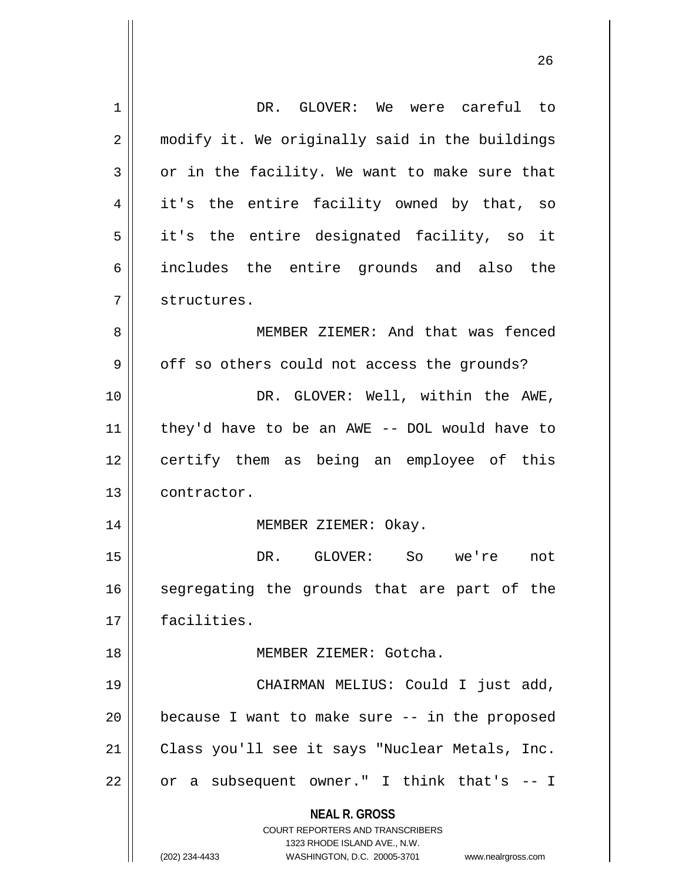| $\mathbf 1$ | DR. GLOVER: We were careful to                                                                                                                                  |
|-------------|-----------------------------------------------------------------------------------------------------------------------------------------------------------------|
| 2           | modify it. We originally said in the buildings                                                                                                                  |
| 3           | or in the facility. We want to make sure that                                                                                                                   |
| 4           | it's the entire facility owned by that, so                                                                                                                      |
| 5           | it's the entire designated facility, so it                                                                                                                      |
| 6           | includes the entire grounds and also the                                                                                                                        |
| 7           | structures.                                                                                                                                                     |
| 8           | MEMBER ZIEMER: And that was fenced                                                                                                                              |
| 9           | off so others could not access the grounds?                                                                                                                     |
| 10          | DR. GLOVER: Well, within the AWE,                                                                                                                               |
| 11          | they'd have to be an AWE -- DOL would have to                                                                                                                   |
| 12          | certify them as being an employee of this                                                                                                                       |
| 13          | contractor.                                                                                                                                                     |
| 14          | MEMBER ZIEMER: Okay.                                                                                                                                            |
| 15          | DR. GLOVER: So we're<br>not                                                                                                                                     |
| 16          | segregating the grounds that are part of the                                                                                                                    |
| 17          | facilities.                                                                                                                                                     |
| 18          | MEMBER ZIEMER: Gotcha.                                                                                                                                          |
| 19          | CHAIRMAN MELIUS: Could I just add,                                                                                                                              |
| 20          | because I want to make sure -- in the proposed                                                                                                                  |
| 21          | Class you'll see it says "Nuclear Metals, Inc.                                                                                                                  |
| 22          | or a subsequent owner." I think that's -- I                                                                                                                     |
|             | <b>NEAL R. GROSS</b><br>COURT REPORTERS AND TRANSCRIBERS<br>1323 RHODE ISLAND AVE., N.W.<br>(202) 234-4433<br>WASHINGTON, D.C. 20005-3701<br>www.nealrgross.com |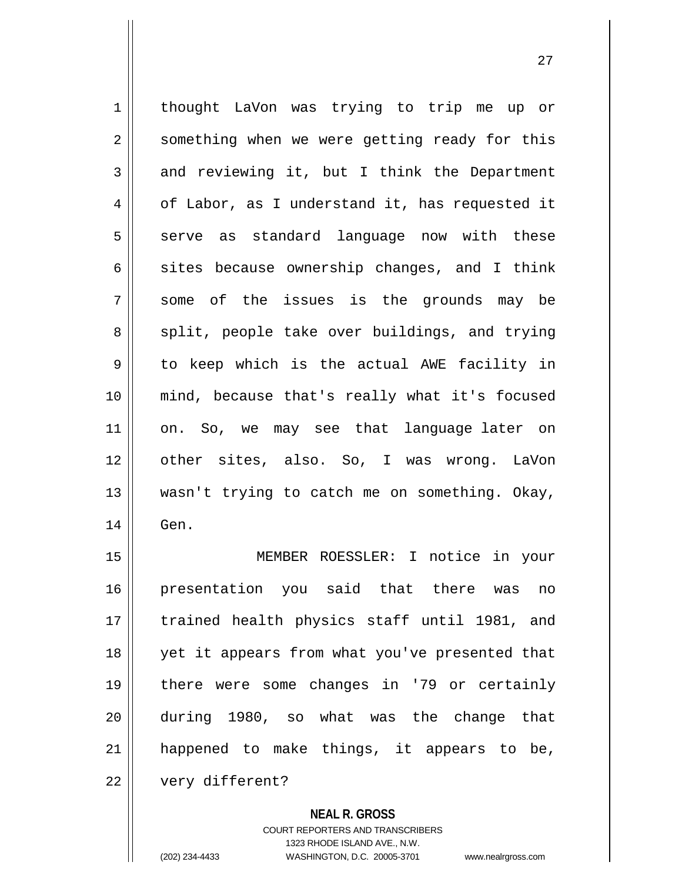1 | thought LaVon was trying to trip me up or 2 || something when we were getting ready for this  $3 \parallel$  and reviewing it, but I think the Department 4 | of Labor, as I understand it, has requested it  $5 \parallel$  serve as standard language now with these  $6 \parallel$  sites because ownership changes, and I think 7 some of the issues is the grounds may be 8 split, people take over buildings, and trying  $9 \parallel$  to keep which is the actual AWE facility in 10 mind, because that's really what it's focused 11 on. So, we may see that language later on 12 other sites, also. So, I was wrong. LaVon 13 wasn't trying to catch me on something. Okay, 14 Gen. 15 MEMBER ROESSLER: I notice in your

16 presentation you said that there was no 17 || trained health physics staff until 1981, and 18 yet it appears from what you've presented that 19 there were some changes in '79 or certainly 20 during 1980, so what was the change that 21 || happened to make things, it appears to be, 22 | very different?

> **NEAL R. GROSS** COURT REPORTERS AND TRANSCRIBERS 1323 RHODE ISLAND AVE., N.W. (202) 234-4433 WASHINGTON, D.C. 20005-3701 www.nealrgross.com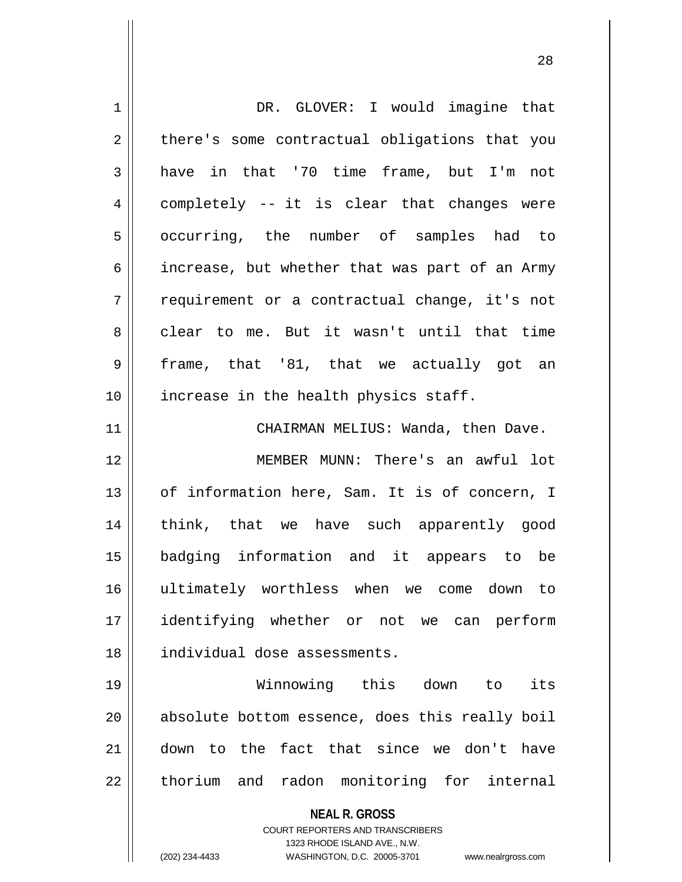| 1  | DR. GLOVER: I would imagine that                         |
|----|----------------------------------------------------------|
| 2  | there's some contractual obligations that you            |
| 3  | have in that '70 time frame, but I'm not                 |
| 4  | completely -- it is clear that changes were              |
| 5  | occurring, the number of samples had to                  |
| 6  | increase, but whether that was part of an Army           |
| 7  | requirement or a contractual change, it's not            |
| 8  | clear to me. But it wasn't until that time               |
| 9  | frame, that '81, that we actually got an                 |
| 10 | increase in the health physics staff.                    |
| 11 | CHAIRMAN MELIUS: Wanda, then Dave.                       |
| 12 | MEMBER MUNN: There's an awful lot                        |
| 13 | of information here, Sam. It is of concern, I            |
| 14 | think, that we have such apparently good                 |
| 15 | badging information and it appears to be                 |
| 16 | ultimately worthless when we come down to                |
| 17 | identifying whether or not we can perform                |
| 18 | individual dose assessments.                             |
| 19 | Winnowing this down to<br>its                            |
| 20 | absolute bottom essence, does this really boil           |
| 21 | down to the fact that since we don't have                |
| 22 | thorium and radon monitoring for internal                |
|    | <b>NEAL R. GROSS</b><br>COURT REPORTERS AND TRANSCRIBERS |

1323 RHODE ISLAND AVE., N.W.

 $\mathop{\textstyle\prod}$ 

(202) 234-4433 WASHINGTON, D.C. 20005-3701 www.nealrgross.com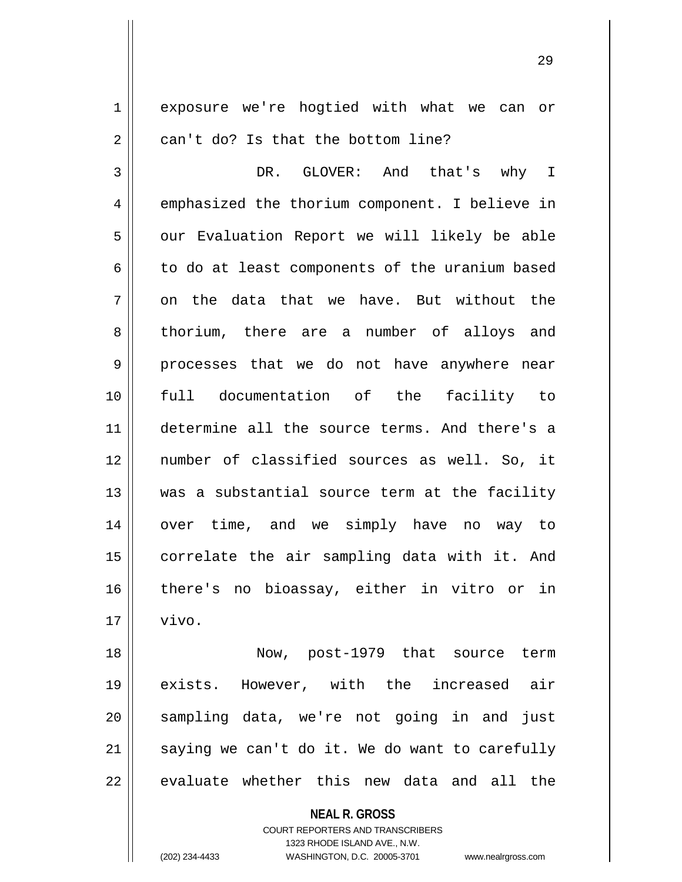1 exposure we're hogtied with what we can or  $2 \parallel$  can't do? Is that the bottom line?

3 DR. GLOVER: And that's why I 4 emphasized the thorium component. I believe in 5 | our Evaluation Report we will likely be able  $6 \parallel$  to do at least components of the uranium based  $7 \parallel$  on the data that we have. But without the 8 thorium, there are a number of alloys and 9 processes that we do not have anywhere near 10 full documentation of the facility to 11 determine all the source terms. And there's a 12 number of classified sources as well. So, it 13 || was a substantial source term at the facility 14 over time, and we simply have no way to 15 || correlate the air sampling data with it. And 16 there's no bioassay, either in vitro or in  $17 \parallel$  vivo.

 Now, post-1979 that source term exists. However, with the increased air 20 || sampling data, we're not going in and just saying we can't do it. We do want to carefully  $\parallel$  evaluate whether this new data and all the

**NEAL R. GROSS**

COURT REPORTERS AND TRANSCRIBERS 1323 RHODE ISLAND AVE., N.W. (202) 234-4433 WASHINGTON, D.C. 20005-3701 www.nealrgross.com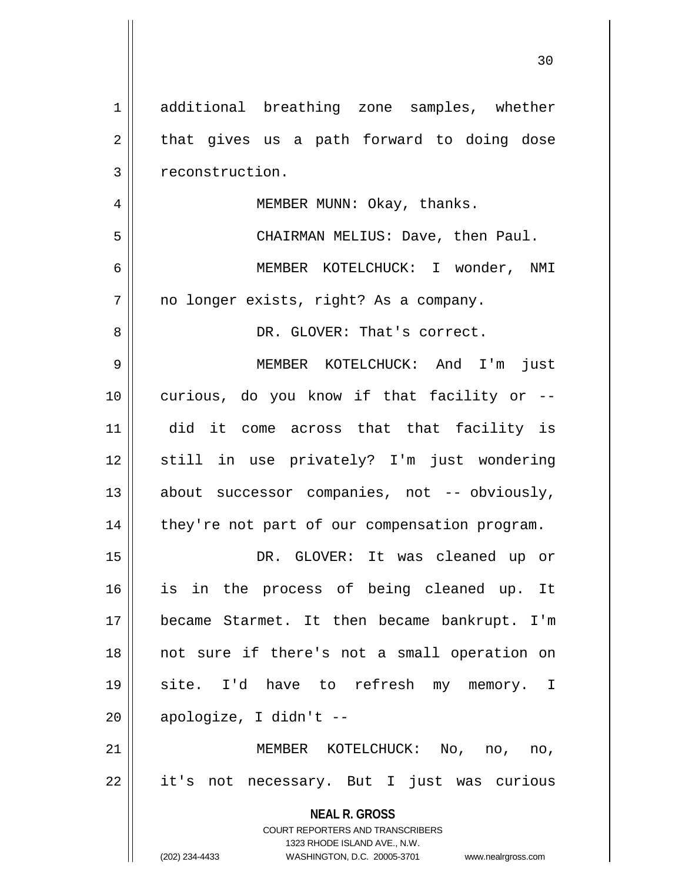|                | 30                                                                                                                                                              |
|----------------|-----------------------------------------------------------------------------------------------------------------------------------------------------------------|
| 1              | additional breathing zone samples, whether                                                                                                                      |
| $\overline{2}$ | that gives us a path forward to doing dose                                                                                                                      |
| 3              | reconstruction.                                                                                                                                                 |
| 4              | MEMBER MUNN: Okay, thanks.                                                                                                                                      |
| 5              | CHAIRMAN MELIUS: Dave, then Paul.                                                                                                                               |
| 6              | MEMBER KOTELCHUCK: I wonder, NMI                                                                                                                                |
| 7              | no longer exists, right? As a company.                                                                                                                          |
| 8              | DR. GLOVER: That's correct.                                                                                                                                     |
| 9              | MEMBER KOTELCHUCK: And I'm<br>just                                                                                                                              |
| 10             | curious, do you know if that facility or --                                                                                                                     |
| 11             | did it come across that that facility is                                                                                                                        |
| 12             | still in use privately? I'm just wondering                                                                                                                      |
| 13             | about successor companies, not -- obviously,                                                                                                                    |
| 14             | they're not part of our compensation program.                                                                                                                   |
| 15             | DR. GLOVER: It was cleaned up or                                                                                                                                |
| 16             | is in the process of being cleaned up. It                                                                                                                       |
| 17             | became Starmet. It then became bankrupt. I'm                                                                                                                    |
| 18             | not sure if there's not a small operation on                                                                                                                    |
| 19             | site. I'd have to refresh my memory. I                                                                                                                          |
| 20             | apologize, I didn't --                                                                                                                                          |
| 21             | MEMBER KOTELCHUCK: No, no,<br>no,                                                                                                                               |
| 22             | it's not necessary. But I just was curious                                                                                                                      |
|                | <b>NEAL R. GROSS</b><br>COURT REPORTERS AND TRANSCRIBERS<br>1323 RHODE ISLAND AVE., N.W.<br>(202) 234-4433<br>WASHINGTON, D.C. 20005-3701<br>www.nealrgross.com |

 $\overline{\mathsf{I}}$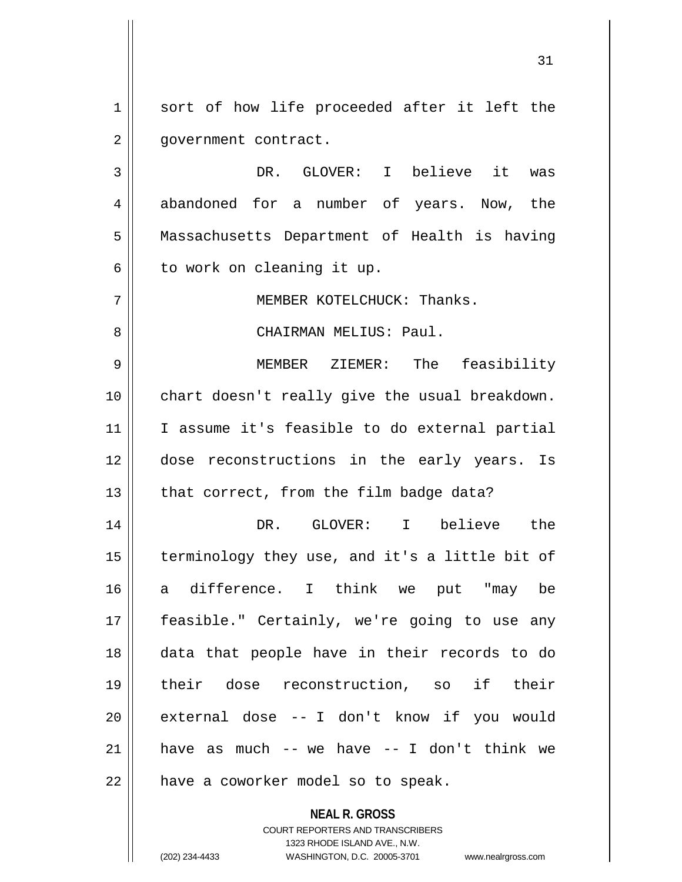1 || sort of how life proceeded after it left the 2 | government contract.

3 || DR. GLOVER: I believe it was 4 abandoned for a number of years. Now, the 5 Massachusetts Department of Health is having  $6 \parallel$  to work on cleaning it up.

7 MEMBER KOTELCHUCK: Thanks.

8 CHAIRMAN MELIUS: Paul.

 MEMBER ZIEMER: The feasibility chart doesn't really give the usual breakdown. 11 || I assume it's feasible to do external partial dose reconstructions in the early years. Is | that correct, from the film badge data?

 DR. GLOVER: I believe the terminology they use, and it's a little bit of a difference. I think we put "may be 17 || feasible." Certainly, we're going to use any data that people have in their records to do their dose reconstruction, so if their 20 || external dose -- I don't know if you would  $\parallel$  have as much -- we have -- I don't think we | have a coworker model so to speak.

> **NEAL R. GROSS** COURT REPORTERS AND TRANSCRIBERS 1323 RHODE ISLAND AVE., N.W. (202) 234-4433 WASHINGTON, D.C. 20005-3701 www.nealrgross.com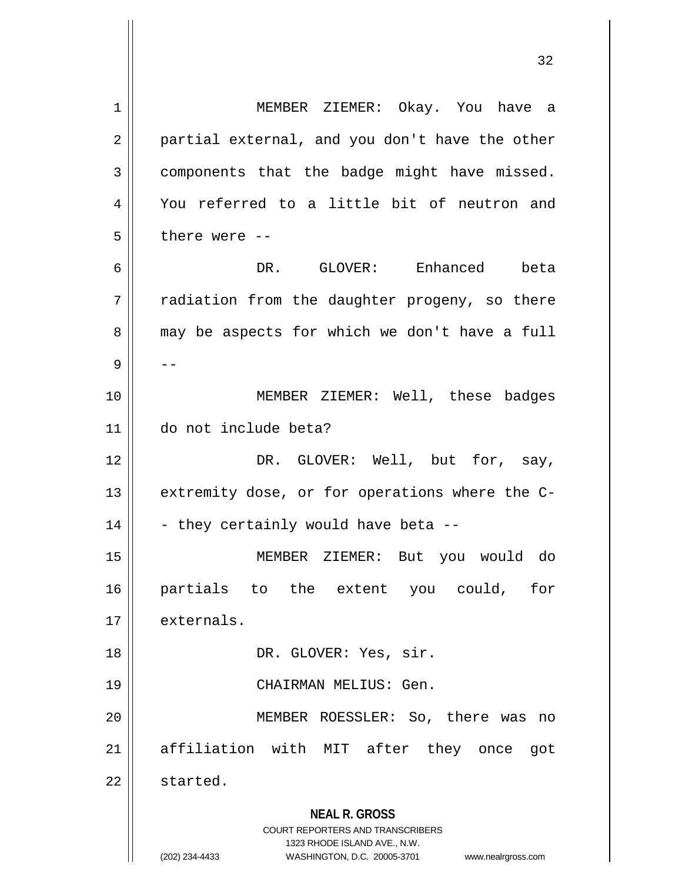**NEAL R. GROSS** COURT REPORTERS AND TRANSCRIBERS 1323 RHODE ISLAND AVE., N.W. 1 MEMBER ZIEMER: Okay. You have a  $2 \parallel$  partial external, and you don't have the other  $3$  components that the badge might have missed. 4 You referred to a little bit of neutron and  $5$  || there were --6 DR. GLOVER: Enhanced beta  $7$  || radiation from the daughter progeny, so there  $8 \parallel$  may be aspects for which we don't have a full 9 | --10 MEMBER ZIEMER: Well, these badges 11 do not include beta? 12 DR. GLOVER: Well, but for, say, 13 || extremity dose, or for operations where the C- $14$  || - they certainly would have beta --15 MEMBER ZIEMER: But you would do 16 partials to the extent you could, for 17 | externals. 18 || DR. GLOVER: Yes, sir. 19 || CHAIRMAN MELIUS: Gen. 20 MEMBER ROESSLER: So, there was no 21 affiliation with MIT after they once got 22 | started.

(202) 234-4433 WASHINGTON, D.C. 20005-3701 www.nealrgross.com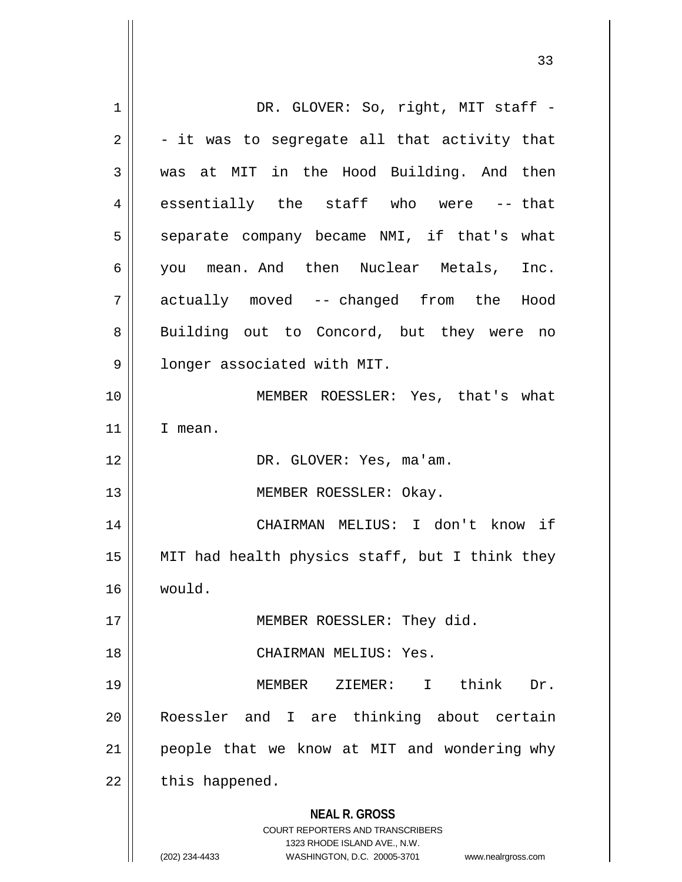**NEAL R. GROSS** COURT REPORTERS AND TRANSCRIBERS 1323 RHODE ISLAND AVE., N.W. (202) 234-4433 WASHINGTON, D.C. 20005-3701 www.nealrgross.com 1 || DR. GLOVER: So, right, MIT staff - $2 \parallel$  - it was to segregate all that activity that 3 was at MIT in the Hood Building. And then 4 essentially the staff who were -- that  $5 \parallel$  separate company became NMI, if that's what 6 you mean. And then Nuclear Metals, Inc. 7 actually moved -- changed from the Hood 8 || Building out to Concord, but they were no 9 | longer associated with MIT. 10 || MEMBER ROESSLER: Yes, that's what 11 | I mean. 12 || DR. GLOVER: Yes, ma'am. 13 || MEMBER ROESSLER: Okay. 14 CHAIRMAN MELIUS: I don't know if 15 MIT had health physics staff, but I think they 16 would. 17 || MEMBER ROESSLER: They did. 18 CHAIRMAN MELIUS: Yes. 19 MEMBER ZIEMER: I think Dr. 20 Roessler and I are thinking about certain 21 || people that we know at MIT and wondering why  $22$  | this happened.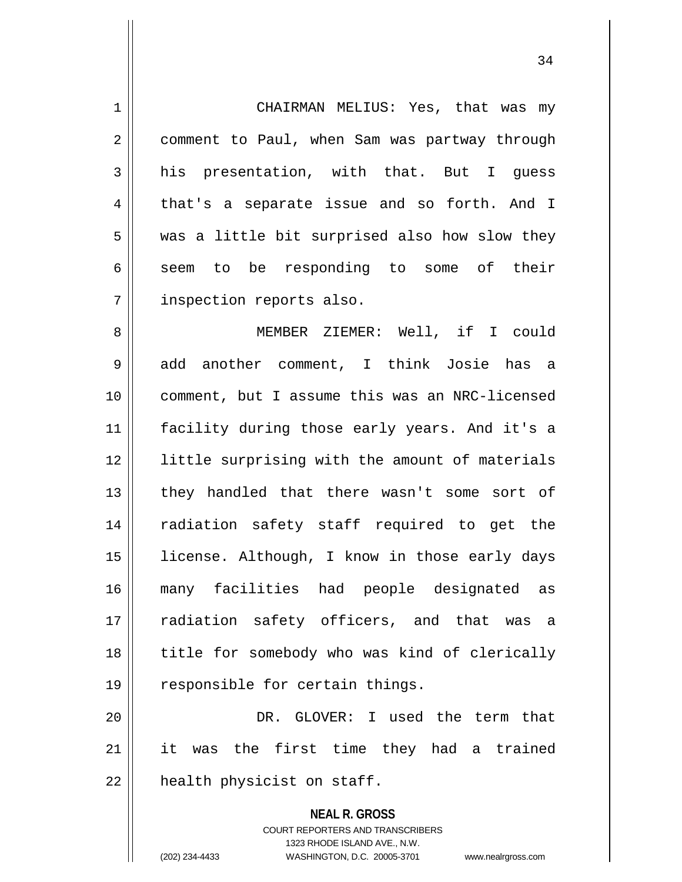**NEAL R. GROSS** COURT REPORTERS AND TRANSCRIBERS 1 CHAIRMAN MELIUS: Yes, that was my 2 | comment to Paul, when Sam was partway through  $3$  his presentation, with that. But I quess 4 that's a separate issue and so forth. And I 5 was a little bit surprised also how slow they  $6 \parallel$  seem to be responding to some of their 7 | inspection reports also. 8 MEMBER ZIEMER: Well, if I could 9 || add another comment, I think Josie has a 10 comment, but I assume this was an NRC-licensed 11 facility during those early years. And it's a 12 || little surprising with the amount of materials 13 || they handled that there wasn't some sort of 14 radiation safety staff required to get the 15 || license. Although, I know in those early days 16 many facilities had people designated as 17 radiation safety officers, and that was a 18 || title for somebody who was kind of clerically 19 || responsible for certain things. 20 DR. GLOVER: I used the term that 21 || it was the first time they had a trained  $22$  | health physicist on staff.

1323 RHODE ISLAND AVE., N.W.

(202) 234-4433 WASHINGTON, D.C. 20005-3701 www.nealrgross.com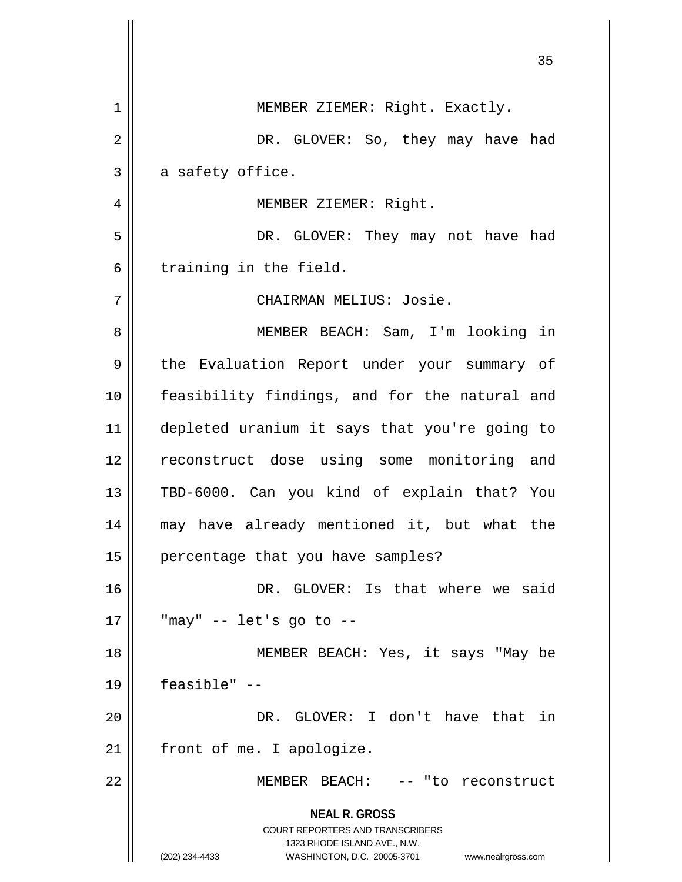|             | 35                                                                                                                                                              |
|-------------|-----------------------------------------------------------------------------------------------------------------------------------------------------------------|
| $\mathbf 1$ | MEMBER ZIEMER: Right. Exactly.                                                                                                                                  |
| 2           | DR. GLOVER: So, they may have had                                                                                                                               |
| 3           | a safety office.                                                                                                                                                |
| 4           | MEMBER ZIEMER: Right.                                                                                                                                           |
| 5           | DR. GLOVER: They may not have had                                                                                                                               |
| 6           | training in the field.                                                                                                                                          |
| 7           | CHAIRMAN MELIUS: Josie.                                                                                                                                         |
| 8           | MEMBER BEACH: Sam, I'm looking in                                                                                                                               |
| 9           | the Evaluation Report under your summary of                                                                                                                     |
| 10          | feasibility findings, and for the natural and                                                                                                                   |
| 11          | depleted uranium it says that you're going to                                                                                                                   |
| 12          | reconstruct dose using some monitoring and                                                                                                                      |
| 13          | TBD-6000. Can you kind of explain that? You                                                                                                                     |
| 14          | may have already mentioned it, but what the                                                                                                                     |
| 15          | percentage that you have samples?                                                                                                                               |
| 16          | DR. GLOVER: Is that where we said                                                                                                                               |
| 17          | "may" $--$ let's go to $--$                                                                                                                                     |
| 18          | MEMBER BEACH: Yes, it says "May be                                                                                                                              |
| 19          | feasible" --                                                                                                                                                    |
| 20          | DR. GLOVER: I don't have that in                                                                                                                                |
| 21          | front of me. I apologize.                                                                                                                                       |
| 22          | MEMBER BEACH: -- "to reconstruct                                                                                                                                |
|             | <b>NEAL R. GROSS</b><br>COURT REPORTERS AND TRANSCRIBERS<br>1323 RHODE ISLAND AVE., N.W.<br>(202) 234-4433<br>WASHINGTON, D.C. 20005-3701<br>www.nealrgross.com |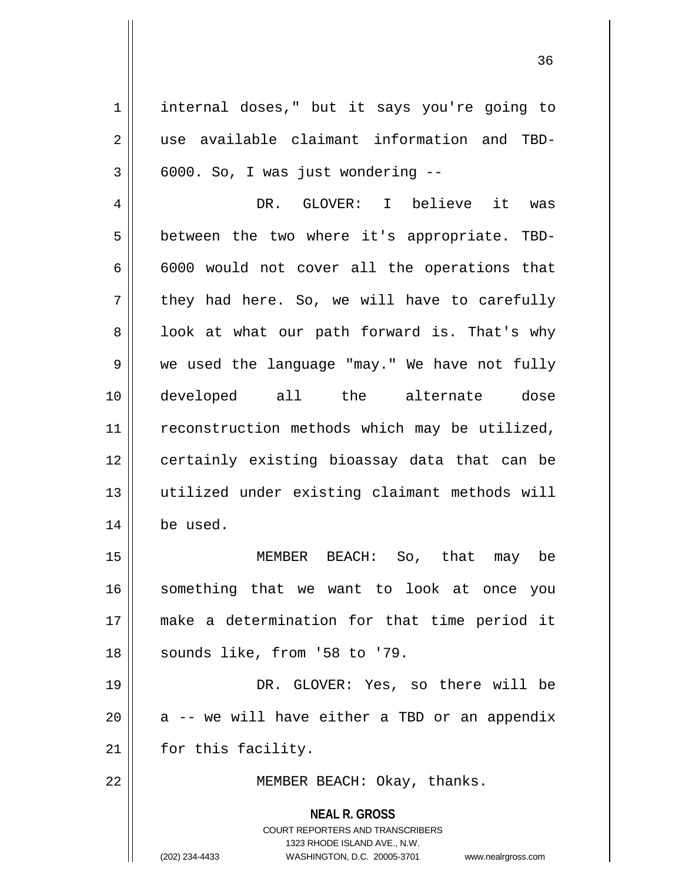1 | internal doses," but it says you're going to 2 wse available claimant information and TBD- $3 \parallel 6000$ . So, I was just wondering  $-$ 

4 DR. GLOVER: I believe it was  $5 \parallel$  between the two where it's appropriate. TBD- $6 \parallel$  6000 would not cover all the operations that  $7 \parallel$  they had here. So, we will have to carefully  $8 \parallel$  look at what our path forward is. That's why 9 || we used the language "may." We have not fully 10 developed all the alternate dose 11 || reconstruction methods which may be utilized, 12 || certainly existing bioassay data that can be 13 utilized under existing claimant methods will 14 be used.

 MEMBER BEACH: So, that may be something that we want to look at once you make a determination for that time period it 18 || sounds like, from '58 to '79.

19 DR. GLOVER: Yes, so there will be  $20$  || a -- we will have either a TBD or an appendix  $21$  | for this facility.

22 || MEMBER BEACH: Okay, thanks.

**NEAL R. GROSS** COURT REPORTERS AND TRANSCRIBERS 1323 RHODE ISLAND AVE., N.W. (202) 234-4433 WASHINGTON, D.C. 20005-3701 www.nealrgross.com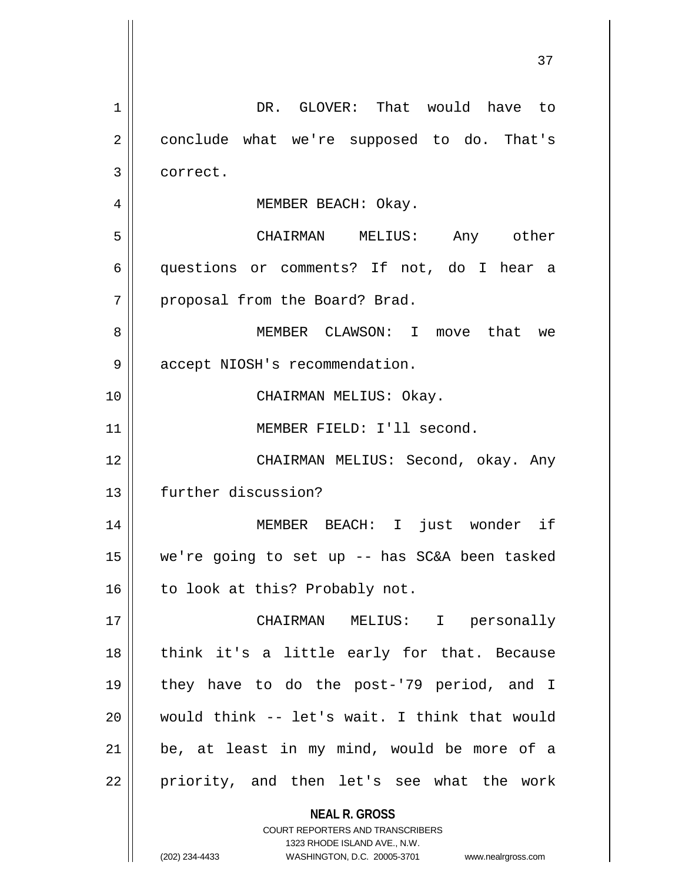| $\mathbf 1$ | DR. GLOVER: That would have to                                      |
|-------------|---------------------------------------------------------------------|
| 2           | conclude what we're supposed to do. That's                          |
| 3           | correct.                                                            |
| 4           | MEMBER BEACH: Okay.                                                 |
| 5           | CHAIRMAN MELIUS: Any other                                          |
| 6           | questions or comments? If not, do I hear a                          |
| 7           | proposal from the Board? Brad.                                      |
| 8           | MEMBER CLAWSON: I move that we                                      |
| 9           | accept NIOSH's recommendation.                                      |
| 10          | CHAIRMAN MELIUS: Okay.                                              |
| 11          | MEMBER FIELD: I'll second.                                          |
| 12          | CHAIRMAN MELIUS: Second, okay. Any                                  |
| 13          | further discussion?                                                 |
| 14          | MEMBER BEACH: I just wonder if                                      |
| 15          | we're going to set up -- has SC&A been tasked                       |
| 16          | to look at this? Probably not.                                      |
| 17          | CHAIRMAN MELIUS: I personally                                       |
| 18          | think it's a little early for that. Because                         |
| 19          | they have to do the post-'79 period, and I                          |
| 20          | would think -- let's wait. I think that would                       |
| 21          | be, at least in my mind, would be more of a                         |
| 22          | priority, and then let's see what the work                          |
|             | <b>NEAL R. GROSS</b>                                                |
|             | COURT REPORTERS AND TRANSCRIBERS<br>1323 RHODE ISLAND AVE., N.W.    |
|             | WASHINGTON, D.C. 20005-3701<br>(202) 234-4433<br>www.nealrgross.com |

 $\overline{\phantom{a}}$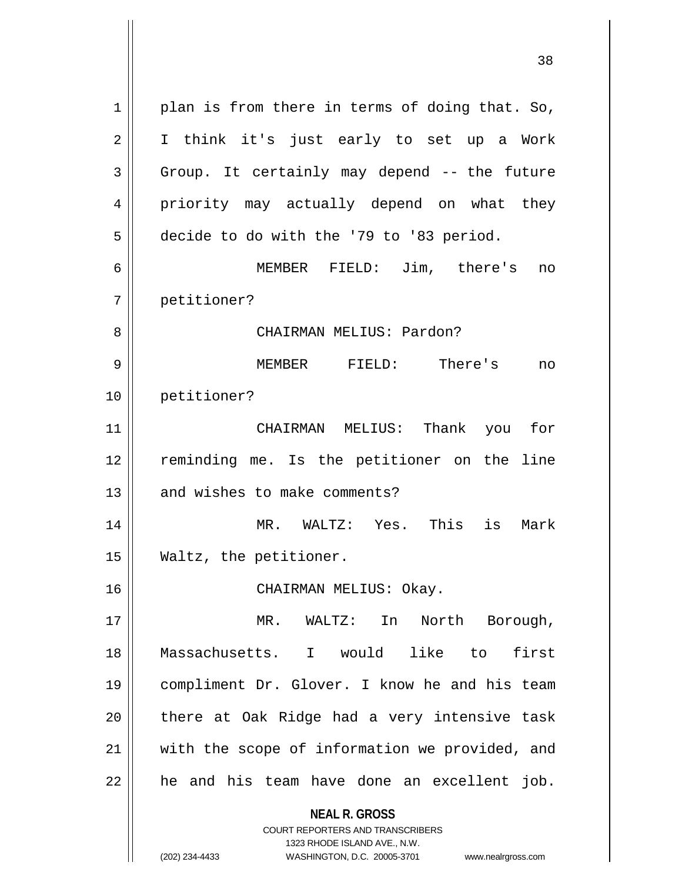| plan is from there in terms of doing that. So, I think it's just early to set up a Work  $3 \parallel$  Group. It certainly may depend -- the future 4 || priority may actually depend on what they decide to do with the '79 to '83 period. MEMBER FIELD: Jim, there's no petitioner? CHAIRMAN MELIUS: Pardon? MEMBER FIELD: There's no petitioner? CHAIRMAN MELIUS: Thank you for reminding me. Is the petitioner on the line 13 and wishes to make comments? MR. WALTZ: Yes. This is Mark Waltz, the petitioner. CHAIRMAN MELIUS: Okay. MR. WALTZ: In North Borough,

 Massachusetts. I would like to first compliment Dr. Glover. I know he and his team || there at Oak Ridge had a very intensive task 21 || with the scope of information we provided, and | he and his team have done an excellent job.

> **NEAL R. GROSS** COURT REPORTERS AND TRANSCRIBERS

> > 1323 RHODE ISLAND AVE., N.W.

(202) 234-4433 WASHINGTON, D.C. 20005-3701 www.nealrgross.com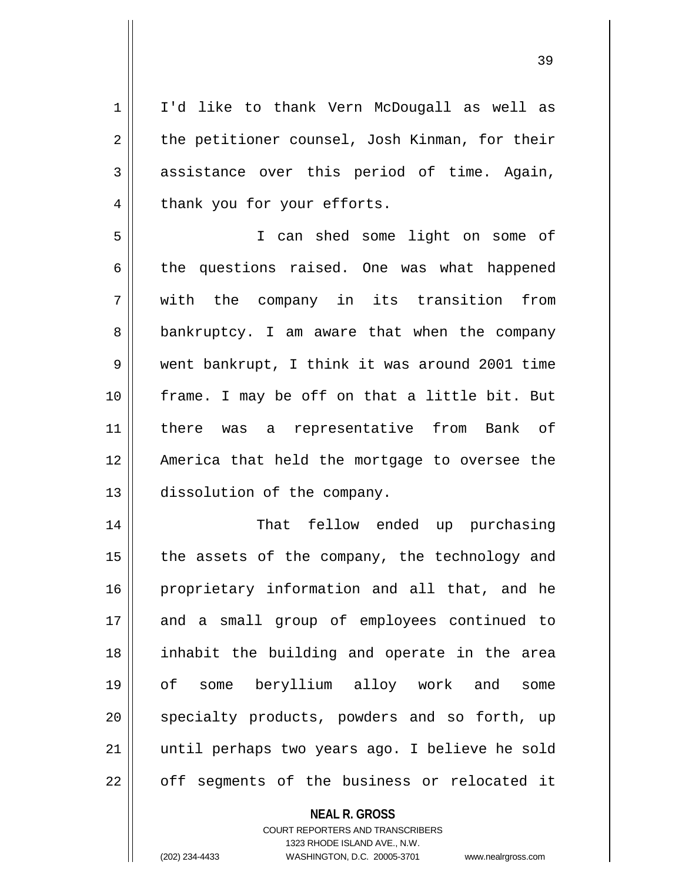1 I'd like to thank Vern McDougall as well as  $2 \parallel$  the petitioner counsel, Josh Kinman, for their  $3 \parallel$  assistance over this period of time. Again, 4 | thank you for your efforts.

5 I can shed some light on some of 6 the questions raised. One was what happened 7 with the company in its transition from 8 bankruptcy. I am aware that when the company 9 went bankrupt, I think it was around 2001 time 10 || frame. I may be off on that a little bit. But 11 || there was a representative from Bank of 12 America that held the mortgage to oversee the 13 dissolution of the company.

14 That fellow ended up purchasing  $15$  | the assets of the company, the technology and 16 proprietary information and all that, and he 17 || and a small group of employees continued to 18 inhabit the building and operate in the area 19 of some beryllium alloy work and some 20 || specialty products, powders and so forth, up 21 || until perhaps two years ago. I believe he sold 22 || off segments of the business or relocated it

> **NEAL R. GROSS** COURT REPORTERS AND TRANSCRIBERS 1323 RHODE ISLAND AVE., N.W. (202) 234-4433 WASHINGTON, D.C. 20005-3701 www.nealrgross.com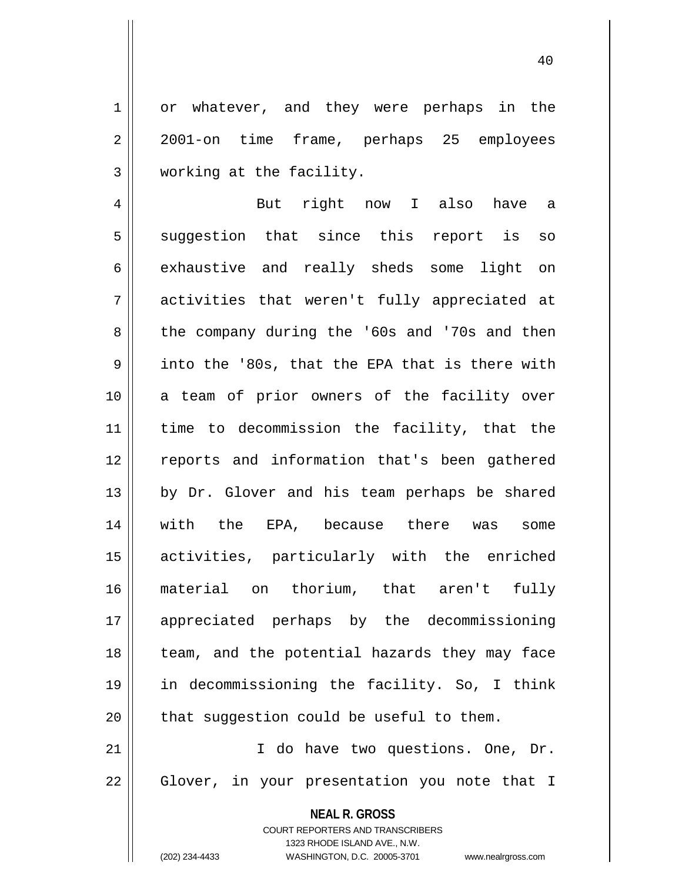1 or whatever, and they were perhaps in the 2 2001-on time frame, perhaps 25 employees 3 working at the facility.

4 || But right now I also have a  $5 \parallel$  suggestion that since this report is so 6 exhaustive and really sheds some light on 7 activities that weren't fully appreciated at 8 || the company during the '60s and '70s and then  $9 \parallel$  into the '80s, that the EPA that is there with 10 || a team of prior owners of the facility over 11 time to decommission the facility, that the 12 || reports and information that's been gathered 13 || by Dr. Glover and his team perhaps be shared 14 with the EPA, because there was some 15 activities, particularly with the enriched 16 material on thorium, that aren't fully 17 appreciated perhaps by the decommissioning 18 || team, and the potential hazards they may face 19 in decommissioning the facility. So, I think  $20$  || that suggestion could be useful to them. 21 || T do have two questions. One, Dr.

22 Glover, in your presentation you note that I

**NEAL R. GROSS** COURT REPORTERS AND TRANSCRIBERS

1323 RHODE ISLAND AVE., N.W.

(202) 234-4433 WASHINGTON, D.C. 20005-3701 www.nealrgross.com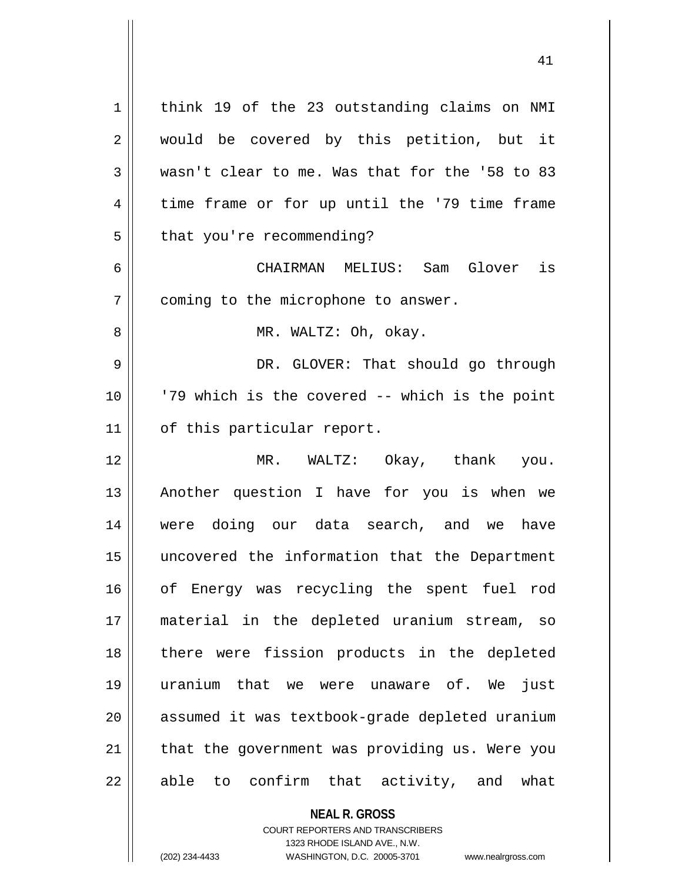| $\mathbf 1$ | think 19 of the 23 outstanding claims on NMI   |
|-------------|------------------------------------------------|
| 2           | would be covered by this petition, but it      |
| 3           | wasn't clear to me. Was that for the '58 to 83 |
| 4           | time frame or for up until the '79 time frame  |
| 5           | that you're recommending?                      |
| 6           | CHAIRMAN MELIUS: Sam Glover is                 |
| 7           | coming to the microphone to answer.            |
| 8           | MR. WALTZ: Oh, okay.                           |
| 9           | DR. GLOVER: That should go through             |
| 10          | '79 which is the covered -- which is the point |
| 11          | of this particular report.                     |
| 12          | MR. WALTZ: Okay, thank you.                    |
| 13          | Another question I have for you is when we     |
| 14          | were doing our data search, and we have        |
| 15          | uncovered the information that the Department  |
| 16          | of Energy was recycling the spent fuel rod     |
|             |                                                |
| 17          | material in the depleted uranium stream, so    |
| 18          | there were fission products in the depleted    |
| 19          | uranium that we were unaware of. We just       |
| 20          | assumed it was textbook-grade depleted uranium |
| 21          | that the government was providing us. Were you |

**NEAL R. GROSS** COURT REPORTERS AND TRANSCRIBERS

1323 RHODE ISLAND AVE., N.W.

(202) 234-4433 WASHINGTON, D.C. 20005-3701 www.nealrgross.com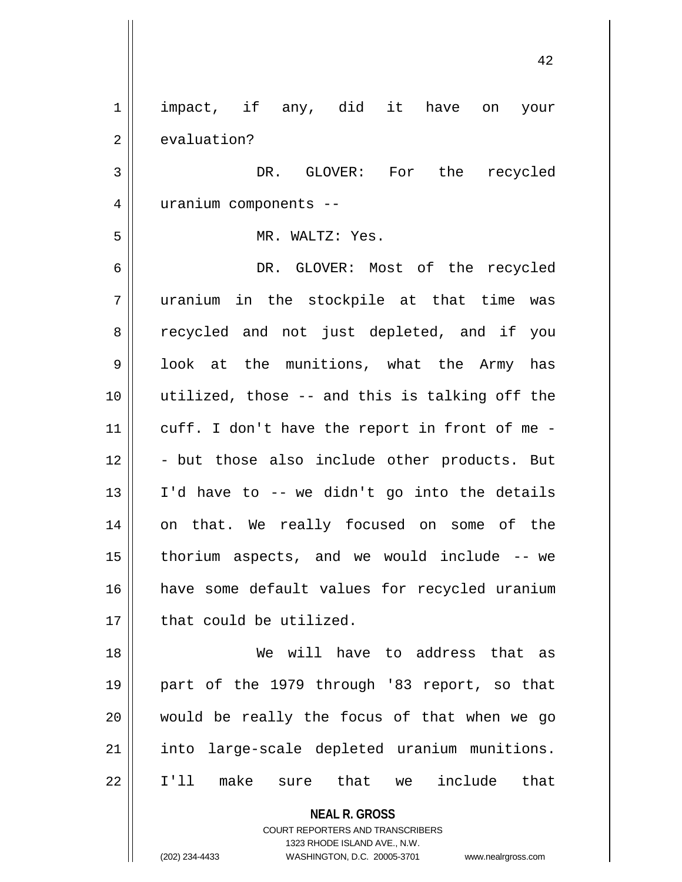| $\mathbf 1$    | impact, if any, did it have on your                                 |
|----------------|---------------------------------------------------------------------|
| $\overline{2}$ | evaluation?                                                         |
| 3              | DR. GLOVER: For the recycled                                        |
| $\overline{4}$ | uranium components --                                               |
| 5              | MR. WALTZ: Yes.                                                     |
| 6              | DR. GLOVER: Most of the recycled                                    |
| 7              | uranium in the stockpile at that time was                           |
| 8              | recycled and not just depleted, and if you                          |
| 9              | look at the munitions, what the Army has                            |
| 10             | utilized, those -- and this is talking off the                      |
| 11             | cuff. I don't have the report in front of me -                      |
| 12             | - but those also include other products. But                        |
| 13             | I'd have to -- we didn't go into the details                        |
| 14             | on that. We really focused on some of the                           |
| 15             | thorium aspects, and we would include -- we                         |
| 16             | have some default values for recycled uranium                       |
| 17             | that could be utilized.                                             |
| 18             | We will have to address that as                                     |
| 19             | part of the 1979 through '83 report, so that                        |
| 20             | would be really the focus of that when we go                        |
| 21             | into large-scale depleted uranium munitions.                        |
| 22             | include that<br>I'll make<br>that<br>sure<br>we                     |
|                | <b>NEAL R. GROSS</b><br><b>COURT REPORTERS AND TRANSCRIBERS</b>     |
|                | 1323 RHODE ISLAND AVE., N.W.                                        |
|                | (202) 234-4433<br>WASHINGTON, D.C. 20005-3701<br>www.nealrgross.com |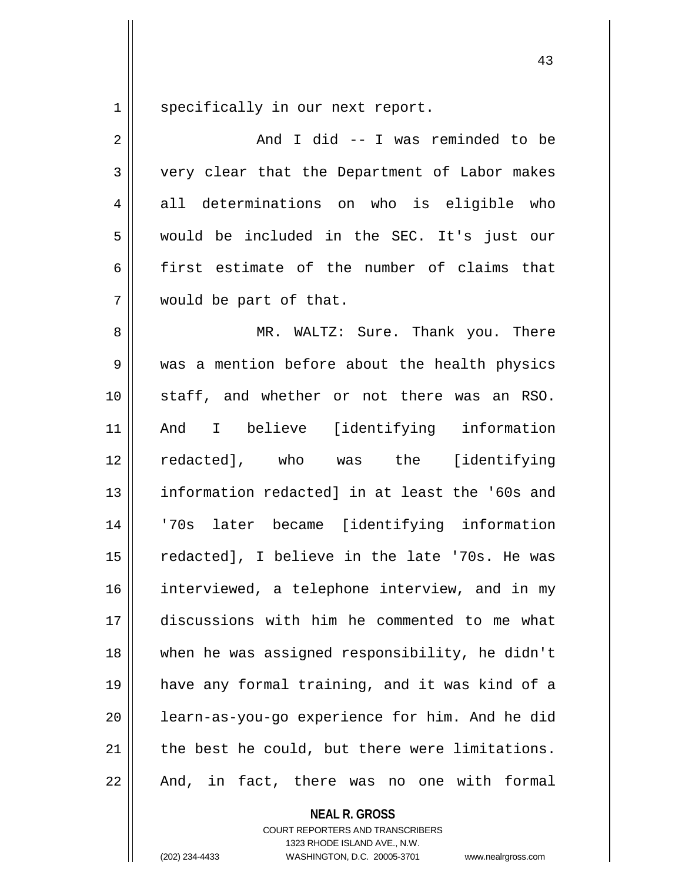1 || specifically in our next report.

 And I did -- I was reminded to be very clear that the Department of Labor makes 4 all determinations on who is eligible who would be included in the SEC. It's just our 6 first estimate of the number of claims that would be part of that. MR. WALTZ: Sure. Thank you. There was a mention before about the health physics 10 || staff, and whether or not there was an RSO. And I believe [identifying information redacted], who was the [identifying 13 || information redacted] in at least the '60s and '70s later became [identifying information 15 || redacted], I believe in the late '70s. He was 16 || interviewed, a telephone interview, and in my discussions with him he commented to me what when he was assigned responsibility, he didn't have any formal training, and it was kind of a 20 || learn-as-you-go experience for him. And he did | the best he could, but there were limitations. || And, in fact, there was no one with formal

**NEAL R. GROSS**

COURT REPORTERS AND TRANSCRIBERS 1323 RHODE ISLAND AVE., N.W. (202) 234-4433 WASHINGTON, D.C. 20005-3701 www.nealrgross.com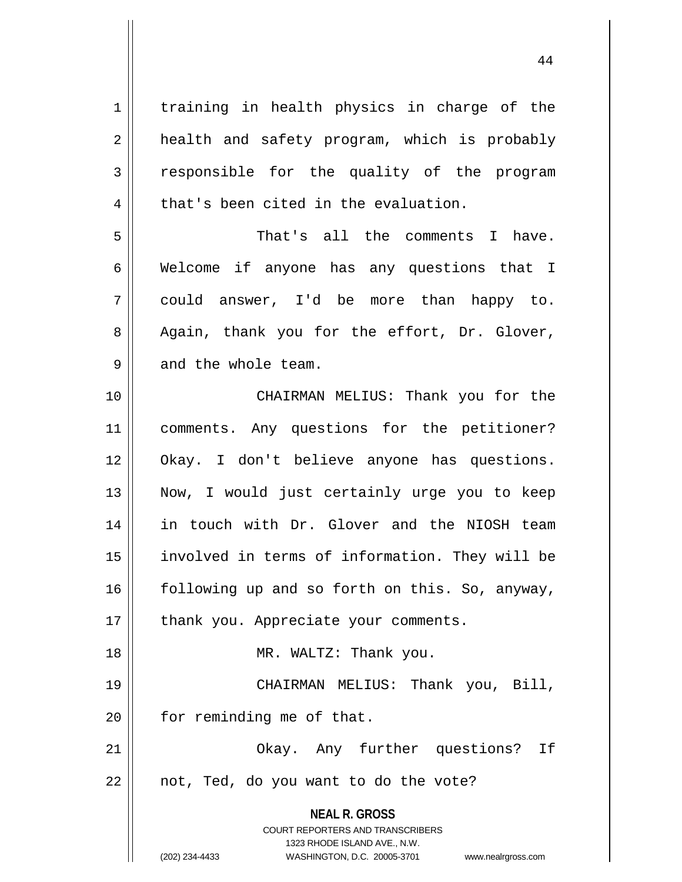**NEAL R. GROSS** COURT REPORTERS AND TRANSCRIBERS 1323 RHODE ISLAND AVE., N.W. (202) 234-4433 WASHINGTON, D.C. 20005-3701 www.nealrgross.com 1 || training in health physics in charge of the 2 || health and safety program, which is probably  $3 \parallel$  responsible for the quality of the program  $4 \parallel$  that's been cited in the evaluation. 5 That's all the comments I have. 6 Welcome if anyone has any questions that I 7 could answer, I'd be more than happy to.  $8 \parallel$  Again, thank you for the effort, Dr. Glover, 9 and the whole team. 10 CHAIRMAN MELIUS: Thank you for the 11 comments. Any questions for the petitioner? 12 Okay. I don't believe anyone has questions. 13 || Now, I would just certainly urge you to keep 14 || in touch with Dr. Glover and the NIOSH team 15 involved in terms of information. They will be 16 following up and so forth on this. So, anyway, 17 || thank you. Appreciate your comments. 18 || MR. WALTZ: Thank you. 19 CHAIRMAN MELIUS: Thank you, Bill,  $20$  | for reminding me of that. 21 || Chay. Any further questions? If  $22$  || not, Ted, do you want to do the vote?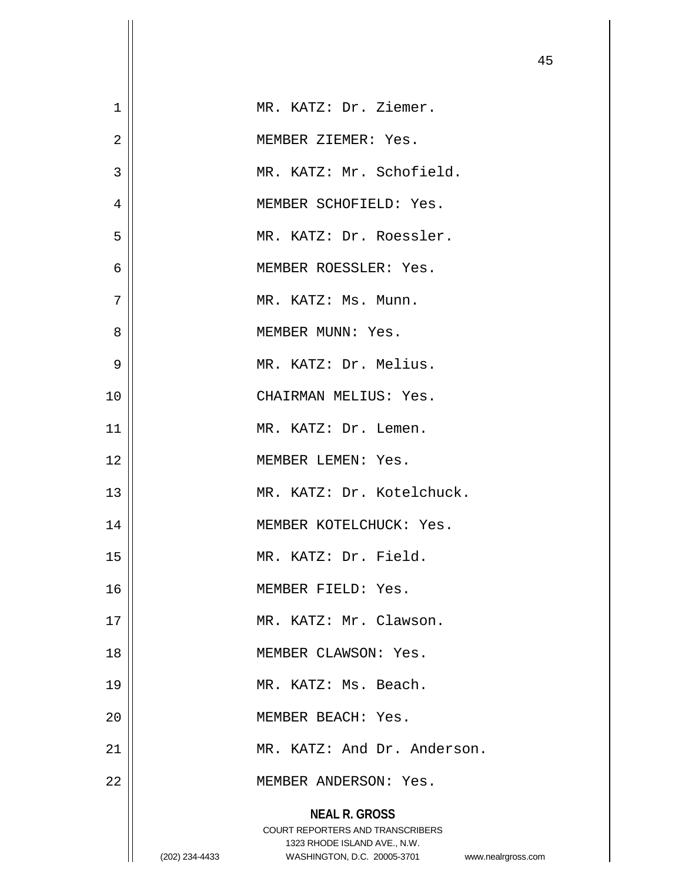| $\mathbf 1$    |                | MR. KATZ: Dr. Ziemer.                                                                                                                                |
|----------------|----------------|------------------------------------------------------------------------------------------------------------------------------------------------------|
| $\overline{2}$ |                | MEMBER ZIEMER: Yes.                                                                                                                                  |
| $\overline{3}$ |                | MR. KATZ: Mr. Schofield.                                                                                                                             |
| $\overline{4}$ |                | MEMBER SCHOFIELD: Yes.                                                                                                                               |
| 5              |                | MR. KATZ: Dr. Roessler.                                                                                                                              |
| 6              |                | MEMBER ROESSLER: Yes.                                                                                                                                |
| 7              |                | MR. KATZ: Ms. Munn.                                                                                                                                  |
| 8              |                | MEMBER MUNN: Yes.                                                                                                                                    |
| 9              |                | MR. KATZ: Dr. Melius.                                                                                                                                |
| 10             |                | CHAIRMAN MELIUS: Yes.                                                                                                                                |
| 11             |                | MR. KATZ: Dr. Lemen.                                                                                                                                 |
| 12             |                | MEMBER LEMEN: Yes.                                                                                                                                   |
| 13             |                | MR. KATZ: Dr. Kotelchuck.                                                                                                                            |
| 14             |                | MEMBER KOTELCHUCK: Yes.                                                                                                                              |
| 15             |                | MR. KATZ: Dr. Field.                                                                                                                                 |
| 16             |                | MEMBER FIELD: Yes.                                                                                                                                   |
| 17             |                | MR. KATZ: Mr. Clawson.                                                                                                                               |
| 18             |                | MEMBER CLAWSON: Yes.                                                                                                                                 |
| 19             |                | MR. KATZ: Ms. Beach.                                                                                                                                 |
| 20             |                | MEMBER BEACH: Yes.                                                                                                                                   |
| 21             |                | MR. KATZ: And Dr. Anderson.                                                                                                                          |
| 22             |                | MEMBER ANDERSON: Yes.                                                                                                                                |
|                | (202) 234-4433 | <b>NEAL R. GROSS</b><br><b>COURT REPORTERS AND TRANSCRIBERS</b><br>1323 RHODE ISLAND AVE., N.W.<br>WASHINGTON, D.C. 20005-3701<br>www.nealrgross.com |

Ħ

 $\mathsf{I}$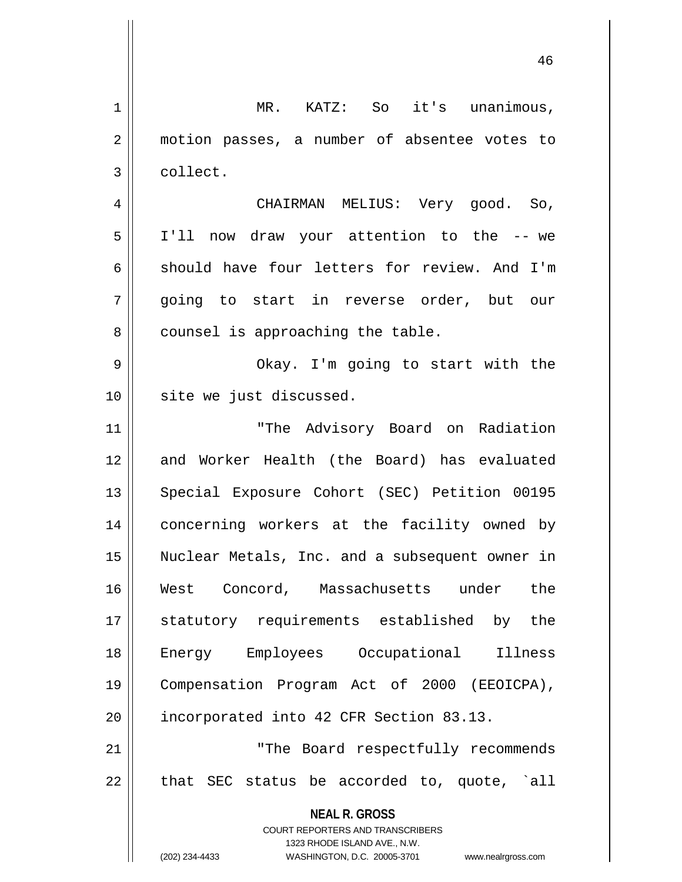| 1  | MR. KATZ: So it's unanimous,                                                                        |
|----|-----------------------------------------------------------------------------------------------------|
| 2  | motion passes, a number of absentee votes to                                                        |
| 3  | collect.                                                                                            |
| 4  | CHAIRMAN MELIUS: Very good. So,                                                                     |
| 5  | I'll now draw your attention to the -- we                                                           |
| 6  | should have four letters for review. And I'm                                                        |
| 7  | going to start in reverse order, but our                                                            |
| 8  | counsel is approaching the table.                                                                   |
| 9  | Okay. I'm going to start with the                                                                   |
| 10 | site we just discussed.                                                                             |
| 11 | "The Advisory Board on Radiation                                                                    |
| 12 | and Worker Health (the Board) has evaluated                                                         |
| 13 | Special Exposure Cohort (SEC) Petition 00195                                                        |
| 14 | concerning workers at the facility owned by                                                         |
| 15 | Nuclear Metals, Inc. and a subsequent owner in                                                      |
| 16 | West Concord, Massachusetts under the                                                               |
| 17 | statutory requirements established by the                                                           |
| 18 | Energy Employees Occupational Illness                                                               |
| 19 | Compensation Program Act of 2000 (EEOICPA),                                                         |
| 20 | incorporated into 42 CFR Section 83.13.                                                             |
| 21 | "The Board respectfully recommends                                                                  |
| 22 | that SEC status be accorded to, quote, `all                                                         |
|    | <b>NEAL R. GROSS</b>                                                                                |
|    | <b>COURT REPORTERS AND TRANSCRIBERS</b>                                                             |
|    | 1323 RHODE ISLAND AVE., N.W.<br>(202) 234-4433<br>WASHINGTON, D.C. 20005-3701<br>www.nealrgross.com |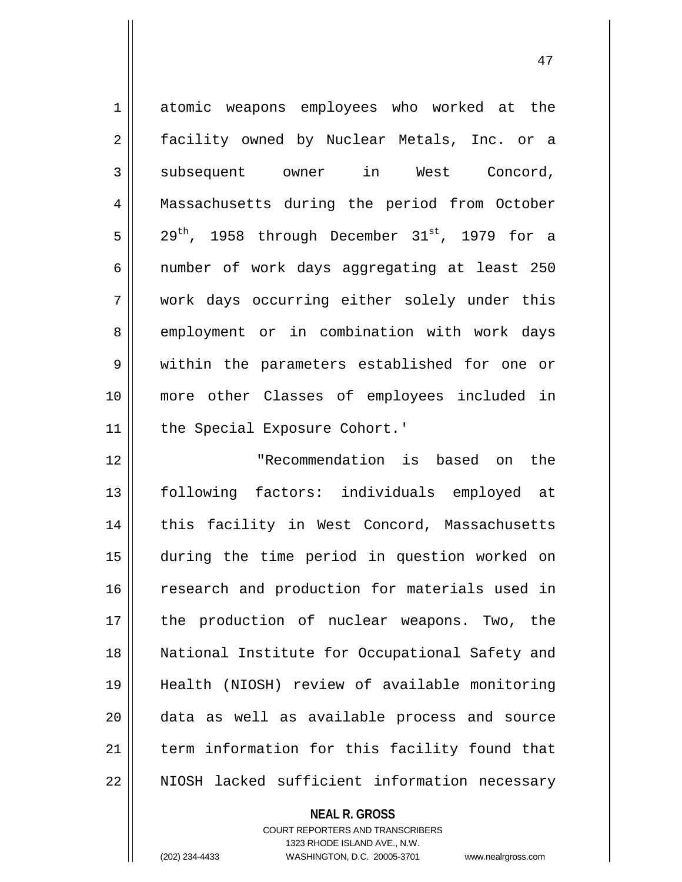| $\mathbf 1$    | atomic weapons employees who worked at the         |
|----------------|----------------------------------------------------|
| $\overline{2}$ | facility owned by Nuclear Metals, Inc. or a        |
| 3              | subsequent owner in West Concord,                  |
| 4              | Massachusetts during the period from October       |
| 5              | $29th$ , 1958 through December $31st$ , 1979 for a |
| 6              | number of work days aggregating at least 250       |
| 7              | work days occurring either solely under this       |
| 8              | employment or in combination with work days        |
| 9              | within the parameters established for one or       |
| 10             | more other Classes of employees included in        |
| 11             | the Special Exposure Cohort.'                      |
| 12             | "Recommendation is based on the                    |
| 13             | following factors: individuals employed at         |
| 14             | this facility in West Concord, Massachusetts       |
| 15             | during the time period in question worked on       |
| 16             | research and production for materials used in      |
| 17             | the production of nuclear weapons. Two, the        |
| 18             | National Institute for Occupational Safety and     |
| 19             | Health (NIOSH) review of available monitoring      |
| 20             | data as well as available process and source       |
| 21             | term information for this facility found that      |
| 22             | NIOSH lacked sufficient information necessary      |

**NEAL R. GROSS** COURT REPORTERS AND TRANSCRIBERS 1323 RHODE ISLAND AVE., N.W.

 $\prod$ 

(202) 234-4433 WASHINGTON, D.C. 20005-3701 www.nealrgross.com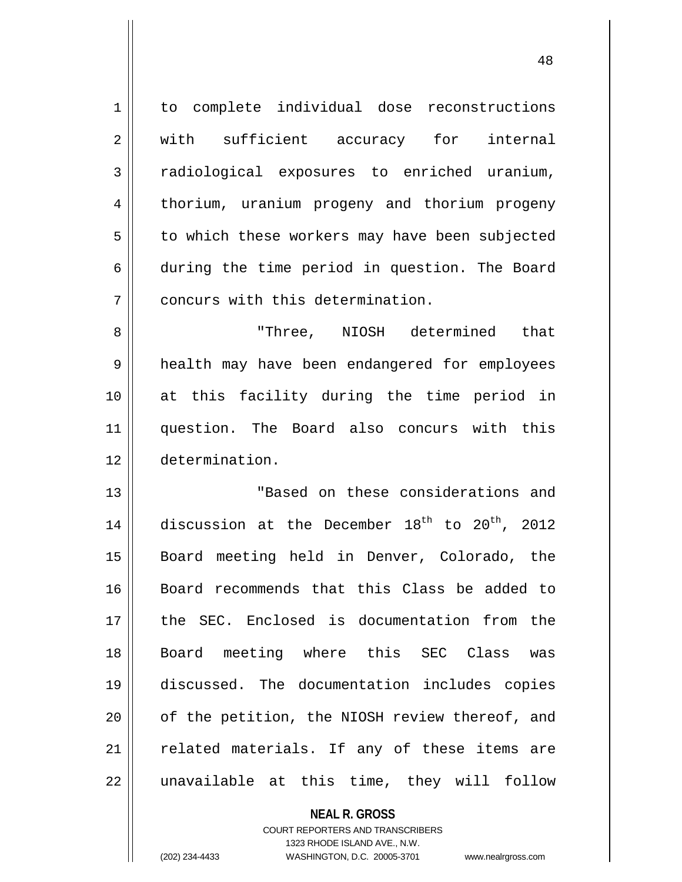| 1              | to complete individual dose reconstructions              |
|----------------|----------------------------------------------------------|
| $\overline{2}$ | with sufficient accuracy for<br>internal                 |
| 3              | radiological exposures to enriched uranium,              |
| 4              | thorium, uranium progeny and thorium progeny             |
| 5              | to which these workers may have been subjected           |
| 6              | during the time period in question. The Board            |
| 7              | concurs with this determination.                         |
| 8              | "Three, NIOSH determined that                            |
| 9              | health may have been endangered for employees            |
| 10             | at this facility during the time period in               |
| 11             | question. The Board also concurs with this               |
| 12             | determination.                                           |
| 13             | "Based on these considerations and                       |
| 14             | discussion at the December $18^{th}$ to $20^{th}$ , 2012 |
| 15             | Board meeting held in Denver, Colorado, the              |
| 16             | Board recommends that this Class be added to             |
| 17             | the SEC. Enclosed is documentation from the              |
| 18             | Board meeting where this SEC Class<br>was                |
| 19             | discussed. The documentation includes copies             |
| 20             | of the petition, the NIOSH review thereof, and           |
| 21             | related materials. If any of these items are             |
| 22             | unavailable at this time, they will follow               |

**NEAL R. GROSS** COURT REPORTERS AND TRANSCRIBERS

1323 RHODE ISLAND AVE., N.W.

(202) 234-4433 WASHINGTON, D.C. 20005-3701 www.nealrgross.com

 $\mathsf{I}$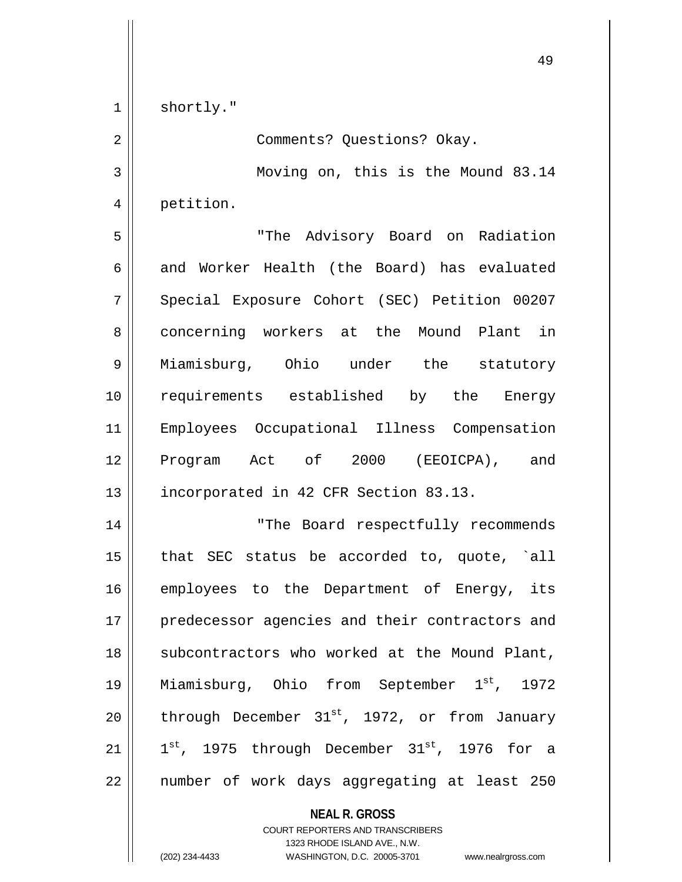$1 \parallel$  shortly."

2 | Comments? Questions? Okay. 3 Moving on, this is the Mound 83.14 4 || petition. 5 "The Advisory Board on Radiation  $6 \parallel$  and Worker Health (the Board) has evaluated 7 Special Exposure Cohort (SEC) Petition 00207 8 concerning workers at the Mound Plant in 9 Miamisburg, Ohio under the statutory 10 requirements established by the Energy 11 Employees Occupational Illness Compensation 12 Program Act of 2000 (EEOICPA), and 13 | incorporated in 42 CFR Section 83.13. 14 || The Board respectfully recommends 15  $\parallel$  that SEC status be accorded to, quote, `all 16 employees to the Department of Energy, its 17 || predecessor agencies and their contractors and 18 || subcontractors who worked at the Mound Plant, 19 || Miamisburg, Ohio from September  $1^{st}$ , 1972 20  $\parallel$  through December 31st, 1972, or from January 21  $\parallel$  1<sup>st</sup>, 1975 through December 31<sup>st</sup>, 1976 for a 22 || number of work days aggregating at least 250

> **NEAL R. GROSS** COURT REPORTERS AND TRANSCRIBERS 1323 RHODE ISLAND AVE., N.W. (202) 234-4433 WASHINGTON, D.C. 20005-3701 www.nealrgross.com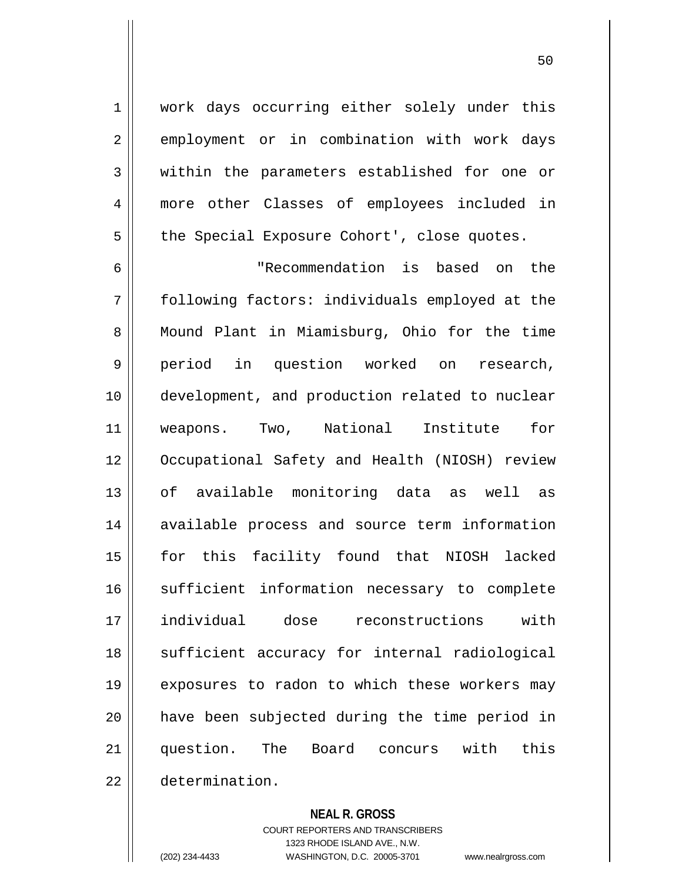50

1 || work days occurring either solely under this 2 employment or in combination with work days 3 within the parameters established for one or 4 more other Classes of employees included in  $5 \parallel$  the Special Exposure Cohort', close quotes.

 "Recommendation is based on the following factors: individuals employed at the 8 || Mound Plant in Miamisburg, Ohio for the time period in question worked on research, development, and production related to nuclear weapons. Two, National Institute for Occupational Safety and Health (NIOSH) review of available monitoring data as well as 14 || available process and source term information for this facility found that NIOSH lacked 16 || sufficient information necessary to complete individual dose reconstructions with 18 || sufficient accuracy for internal radiological 19 || exposures to radon to which these workers may have been subjected during the time period in question. The Board concurs with this determination.

## **NEAL R. GROSS**

COURT REPORTERS AND TRANSCRIBERS 1323 RHODE ISLAND AVE., N.W. (202) 234-4433 WASHINGTON, D.C. 20005-3701 www.nealrgross.com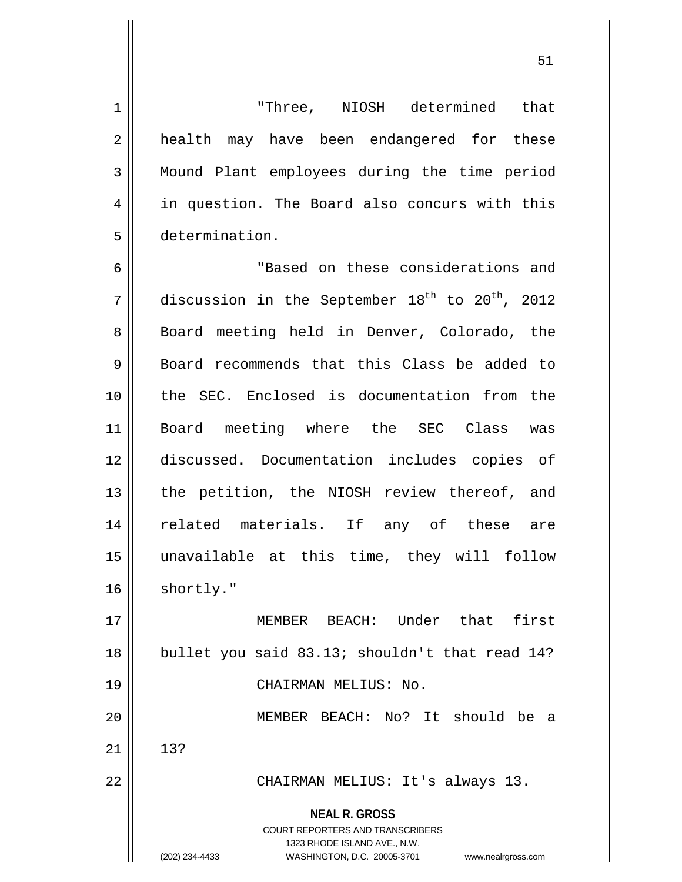1 "Three, NIOSH determined that 2 || health may have been endangered for these 3 Mound Plant employees during the time period 4 || in question. The Board also concurs with this 5 determination.

6 **6 1** TBased on these considerations and  $7 \parallel$  discussion in the September  $18^{\text{th}}$  to  $20^{\text{th}}$ , 2012 8 Board meeting held in Denver, Colorado, the  $9 \parallel$  Board recommends that this Class be added to 10 the SEC. Enclosed is documentation from the 11 Board meeting where the SEC Class was 12 discussed. Documentation includes copies of 13 || the petition, the NIOSH review thereof, and 14 || related materials. If any of these are 15 unavailable at this time, they will follow  $16$  shortly."

**NEAL R. GROSS** 17 MEMBER BEACH: Under that first 18 || bullet you said  $83.13$ ; shouldn't that read 14? 19 || CHAIRMAN MELIUS: No. 20 MEMBER BEACH: No? It should be a  $21$  13? 22 CHAIRMAN MELIUS: It's always 13.

> COURT REPORTERS AND TRANSCRIBERS 1323 RHODE ISLAND AVE., N.W.

(202) 234-4433 WASHINGTON, D.C. 20005-3701 www.nealrgross.com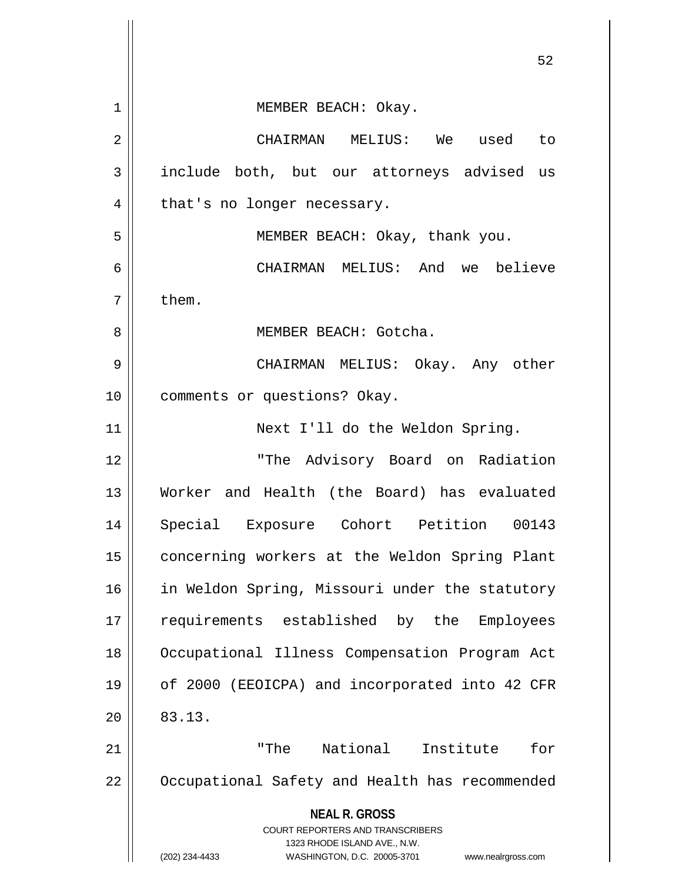|    | 52                                                                                                                                                                     |
|----|------------------------------------------------------------------------------------------------------------------------------------------------------------------------|
| 1  | MEMBER BEACH: Okay.                                                                                                                                                    |
| 2  | CHAIRMAN MELIUS: We used to                                                                                                                                            |
| 3  | include both, but our attorneys advised us                                                                                                                             |
| 4  | that's no longer necessary.                                                                                                                                            |
| 5  | MEMBER BEACH: Okay, thank you.                                                                                                                                         |
| 6  | CHAIRMAN MELIUS: And we believe                                                                                                                                        |
| 7  | them.                                                                                                                                                                  |
| 8  | MEMBER BEACH: Gotcha.                                                                                                                                                  |
| 9  | CHAIRMAN MELIUS: Okay. Any other                                                                                                                                       |
| 10 | comments or questions? Okay.                                                                                                                                           |
| 11 | Next I'll do the Weldon Spring.                                                                                                                                        |
| 12 | "The Advisory Board on Radiation                                                                                                                                       |
| 13 | Worker and Health (the Board) has evaluated                                                                                                                            |
| 14 | Special Exposure Cohort Petition 00143                                                                                                                                 |
| 15 | concerning workers at the Weldon Spring Plant                                                                                                                          |
| 16 | in Weldon Spring, Missouri under the statutory                                                                                                                         |
| 17 | requirements established by the Employees                                                                                                                              |
| 18 | Occupational Illness Compensation Program Act                                                                                                                          |
| 19 | of 2000 (EEOICPA) and incorporated into 42 CFR                                                                                                                         |
| 20 | 83.13.                                                                                                                                                                 |
| 21 | "The National Institute<br>for                                                                                                                                         |
| 22 | Occupational Safety and Health has recommended                                                                                                                         |
|    | <b>NEAL R. GROSS</b><br><b>COURT REPORTERS AND TRANSCRIBERS</b><br>1323 RHODE ISLAND AVE., N.W.<br>(202) 234-4433<br>WASHINGTON, D.C. 20005-3701<br>www.nealrgross.com |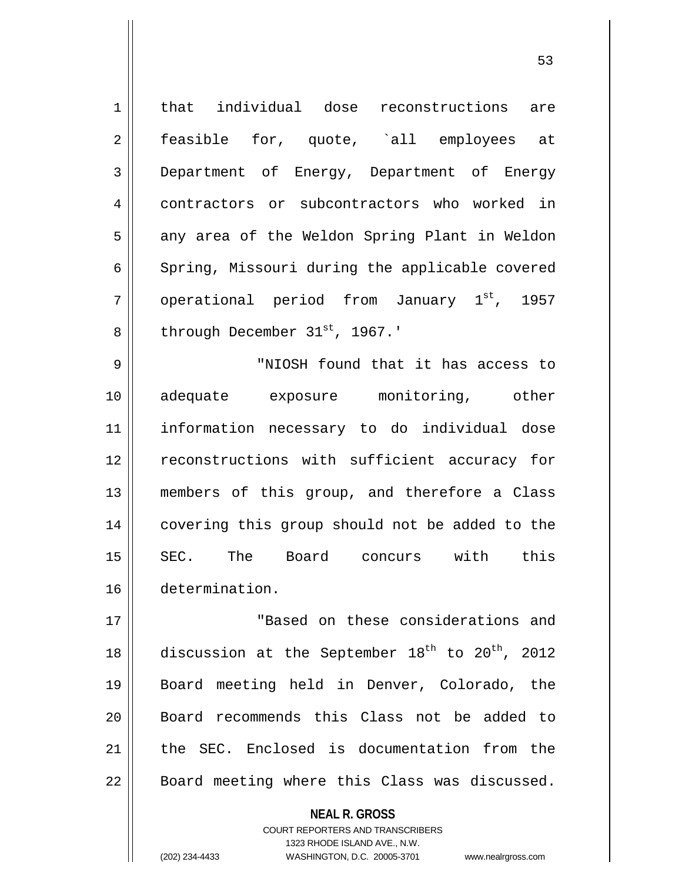1 || that individual dose reconstructions are 2 || feasible for, quote, `all employees at 3 Department of Energy, Department of Energy 4 contractors or subcontractors who worked in 5 || any area of the Weldon Spring Plant in Weldon 6 | Spring, Missouri during the applicable covered 7 || operational period from January  $1^{st}$ , 1957  $8 \parallel$  through December 31st, 1967.' 9 "NIOSH found that it has access to 10 adequate exposure monitoring, other 11 information necessary to do individual dose 12 || reconstructions with sufficient accuracy for

 members of this group, and therefore a Class 14 || covering this group should not be added to the SEC. The Board concurs with this determination.

 "Based on these considerations and  $\parallel$  discussion at the September 18<sup>th</sup> to 20<sup>th</sup>, 2012 Board meeting held in Denver, Colorado, the 20 || Board recommends this Class not be added to the SEC. Enclosed is documentation from the 22 || Board meeting where this Class was discussed.

> **NEAL R. GROSS** COURT REPORTERS AND TRANSCRIBERS 1323 RHODE ISLAND AVE., N.W. (202) 234-4433 WASHINGTON, D.C. 20005-3701 www.nealrgross.com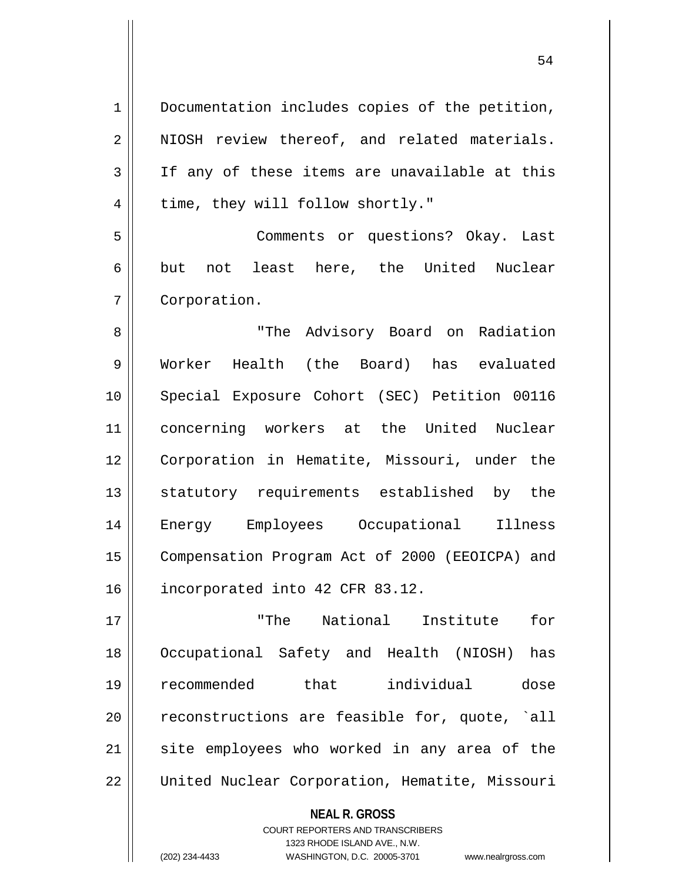| $\mathbf 1$    | Documentation includes copies of the petition,                                                      |
|----------------|-----------------------------------------------------------------------------------------------------|
| $\overline{2}$ | NIOSH review thereof, and related materials.                                                        |
| 3              | If any of these items are unavailable at this                                                       |
| 4              | time, they will follow shortly."                                                                    |
| 5              | Comments or questions? Okay. Last                                                                   |
| 6              | but not least here, the United Nuclear                                                              |
| 7              | Corporation.                                                                                        |
| 8              | "The Advisory Board on Radiation                                                                    |
| 9              | Worker Health (the Board) has evaluated                                                             |
| 10             | Special Exposure Cohort (SEC) Petition 00116                                                        |
| 11             | concerning workers at the United Nuclear                                                            |
| 12             | Corporation in Hematite, Missouri, under the                                                        |
| 13             | statutory requirements established by the                                                           |
| 14             | Energy Employees Occupational Illness                                                               |
| 15             | Compensation Program Act of 2000 (EEOICPA) and                                                      |
| 16             | incorporated into 42 CFR 83.12.                                                                     |
| 17             | National<br>for<br>Institute<br>"The                                                                |
| 18             | Occupational Safety and Health (NIOSH)<br>has                                                       |
| 19             | that<br>individual<br>dose<br>recommended                                                           |
| 20             | reconstructions are feasible for, quote, `all                                                       |
| 21             | site employees who worked in any area of the                                                        |
| 22             | United Nuclear Corporation, Hematite, Missouri                                                      |
|                | <b>NEAL R. GROSS</b>                                                                                |
|                | <b>COURT REPORTERS AND TRANSCRIBERS</b>                                                             |
|                | 1323 RHODE ISLAND AVE., N.W.<br>(202) 234-4433<br>WASHINGTON, D.C. 20005-3701<br>www.nealrgross.com |
|                |                                                                                                     |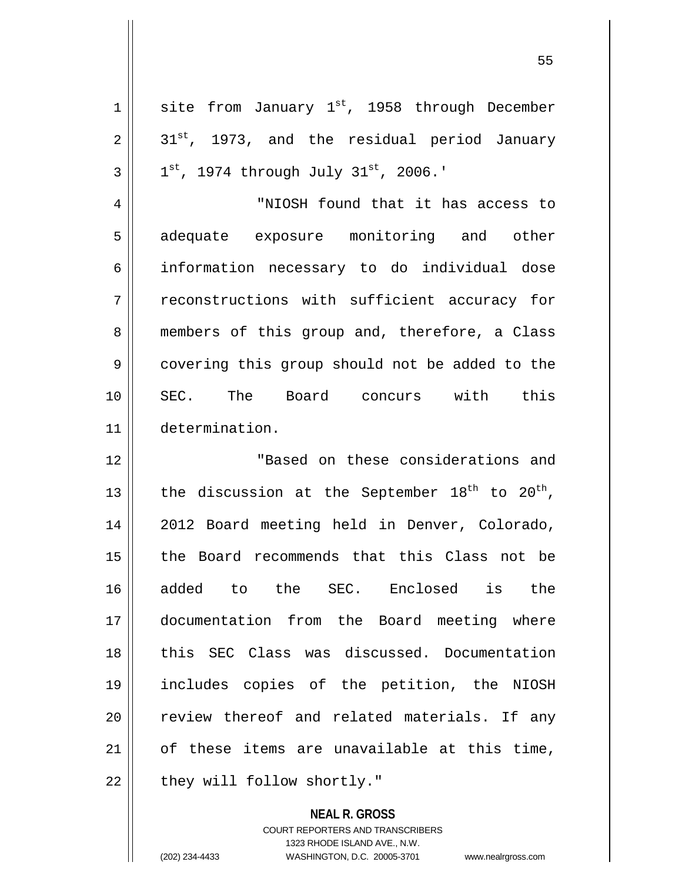1  $\vert$  site from January 1<sup>st</sup>, 1958 through December  $2 \parallel 31^{\text{st}}$ , 1973, and the residual period January  $3 \parallel 1^{\text{st}}$ , 1974 through July  $31^{\text{st}}$ , 2006.' 4 "NIOSH found that it has access to 5 adequate exposure monitoring and other 6 || information necessary to do individual dose 7 || reconstructions with sufficient accuracy for 8 members of this group and, therefore, a Class 9 covering this group should not be added to the 10 SEC. The Board concurs with this 11 determination. 12 "Based on these considerations and 13 || the discussion at the September  $18^{th}$  to  $20^{th}$ , 14 || 2012 Board meeting held in Denver, Colorado, 15 the Board recommends that this Class not be 16 added to the SEC. Enclosed is the 17 documentation from the Board meeting where 18 || this SEC Class was discussed. Documentation 19 includes copies of the petition, the NIOSH  $20$   $\parallel$  review thereof and related materials. If any  $21$  of these items are unavailable at this time,  $22$  | they will follow shortly."

> **NEAL R. GROSS** COURT REPORTERS AND TRANSCRIBERS 1323 RHODE ISLAND AVE., N.W. (202) 234-4433 WASHINGTON, D.C. 20005-3701 www.nealrgross.com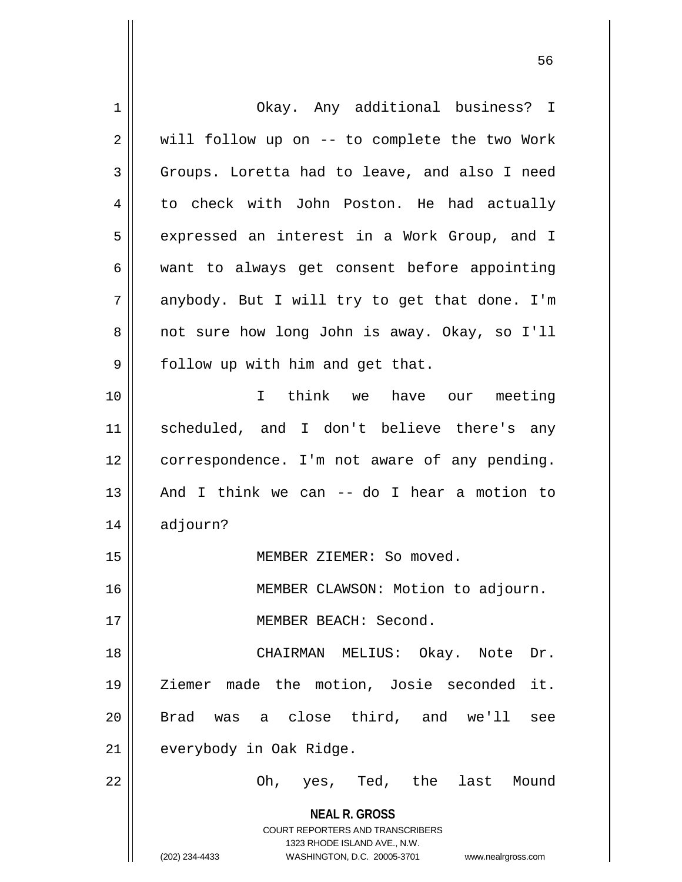| 1  | Okay. Any additional business? I                                    |
|----|---------------------------------------------------------------------|
| 2  | will follow up on -- to complete the two Work                       |
| 3  | Groups. Loretta had to leave, and also I need                       |
| 4  | to check with John Poston. He had actually                          |
| 5  | expressed an interest in a Work Group, and I                        |
| 6  | want to always get consent before appointing                        |
| 7  | anybody. But I will try to get that done. I'm                       |
| 8  | not sure how long John is away. Okay, so I'll                       |
| 9  | follow up with him and get that.                                    |
| 10 | I think we have our meeting                                         |
| 11 | scheduled, and I don't believe there's any                          |
| 12 | correspondence. I'm not aware of any pending.                       |
| 13 | And I think we can -- do I hear a motion to                         |
| 14 | adjourn?                                                            |
| 15 | MEMBER ZIEMER: So moved.                                            |
| 16 | MEMBER CLAWSON: Motion to adjourn.                                  |
| 17 | MEMBER BEACH: Second.                                               |
| 18 | CHAIRMAN MELIUS: Okay. Note<br>Dr.                                  |
| 19 | Ziemer made the motion, Josie seconded it.                          |
| 20 | Brad was a close third, and we'll<br>see                            |
| 21 | everybody in Oak Ridge.                                             |
| 22 | Oh, yes, Ted, the last Mound                                        |
|    | <b>NEAL R. GROSS</b>                                                |
|    | <b>COURT REPORTERS AND TRANSCRIBERS</b>                             |
|    | 1323 RHODE ISLAND AVE., N.W.                                        |
|    | (202) 234-4433<br>WASHINGTON, D.C. 20005-3701<br>www.nealrgross.com |

 $\overline{1}$ 

 $\mathbf{I}$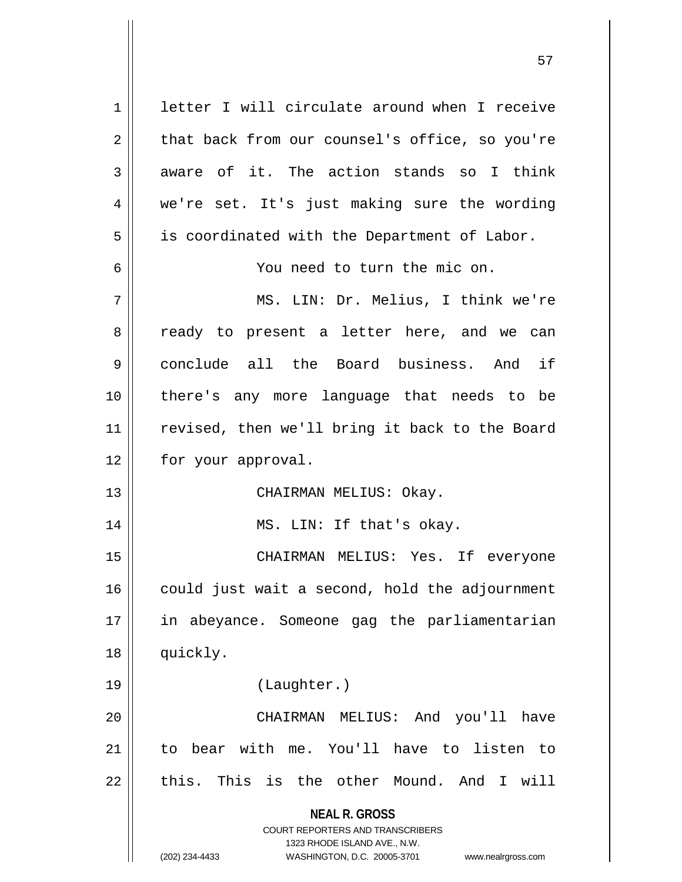**NEAL R. GROSS** COURT REPORTERS AND TRANSCRIBERS 1323 RHODE ISLAND AVE., N.W. (202) 234-4433 WASHINGTON, D.C. 20005-3701 www.nealrgross.com 1 letter I will circulate around when I receive  $2 \parallel$  that back from our counsel's office, so you're  $3 \parallel$  aware of it. The action stands so I think 4 we're set. It's just making sure the wording  $5 \parallel$  is coordinated with the Department of Labor. 6 You need to turn the mic on. 7 MS. LIN: Dr. Melius, I think we're 8 || ready to present a letter here, and we can 9 conclude all the Board business. And if 10 there's any more language that needs to be 11 || revised, then we'll bring it back to the Board 12 | for your approval. 13 || CHAIRMAN MELIUS: Okay. 14 || MS. LIN: If that's okay. 15 CHAIRMAN MELIUS: Yes. If everyone 16 could just wait a second, hold the adjournment 17 in abeyance. Someone gag the parliamentarian 18 || quickly. 19 (Laughter.) 20 CHAIRMAN MELIUS: And you'll have 21 to bear with me. You'll have to listen to 22 || this. This is the other Mound. And I will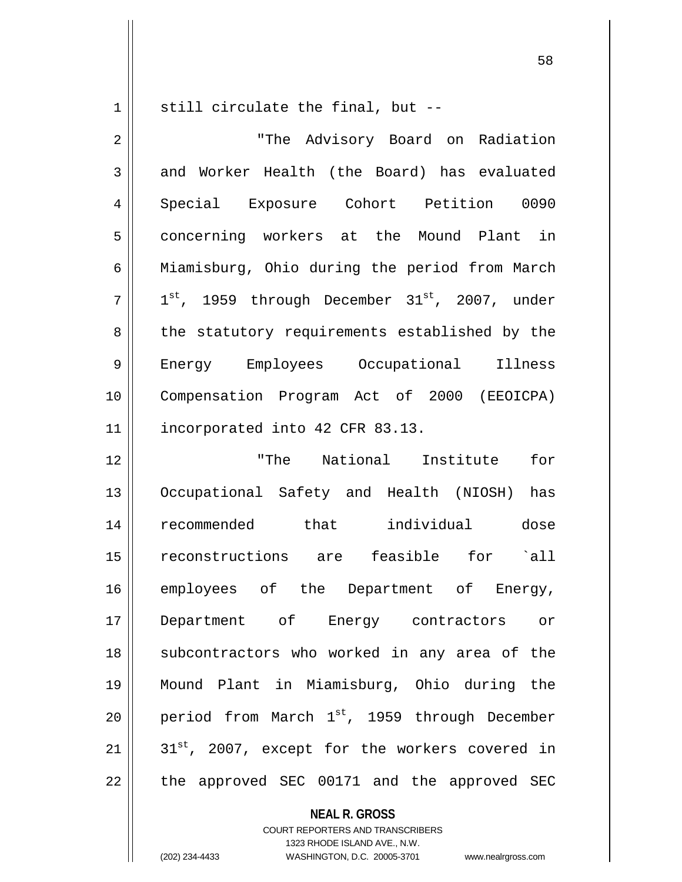$1 \parallel$  still circulate the final, but --

2 "The Advisory Board on Radiation 3 and Worker Health (the Board) has evaluated 4 | Special Exposure Cohort Petition 0090 5 concerning workers at the Mound Plant in 6 || Miamisburg, Ohio during the period from March  $7\parallel$   $1^{\rm st}$ , 1959 through December 31st, 2007, under 8 || the statutory requirements established by the 9 Energy Employees Occupational Illness 10 Compensation Program Act of 2000 (EEOICPA) 11 | incorporated into 42 CFR 83.13.

 "The National Institute for Occupational Safety and Health (NIOSH) has recommended that individual dose reconstructions are feasible for `all employees of the Department of Energy, Department of Energy contractors or 18 || subcontractors who worked in any area of the Mound Plant in Miamisburg, Ohio during the  $\parallel$  period from March 1<sup>st</sup>, 1959 through December |  $31^{st}$ , 2007, except for the workers covered in || the approved SEC 00171 and the approved SEC

> **NEAL R. GROSS** COURT REPORTERS AND TRANSCRIBERS 1323 RHODE ISLAND AVE., N.W.

(202) 234-4433 WASHINGTON, D.C. 20005-3701 www.nealrgross.com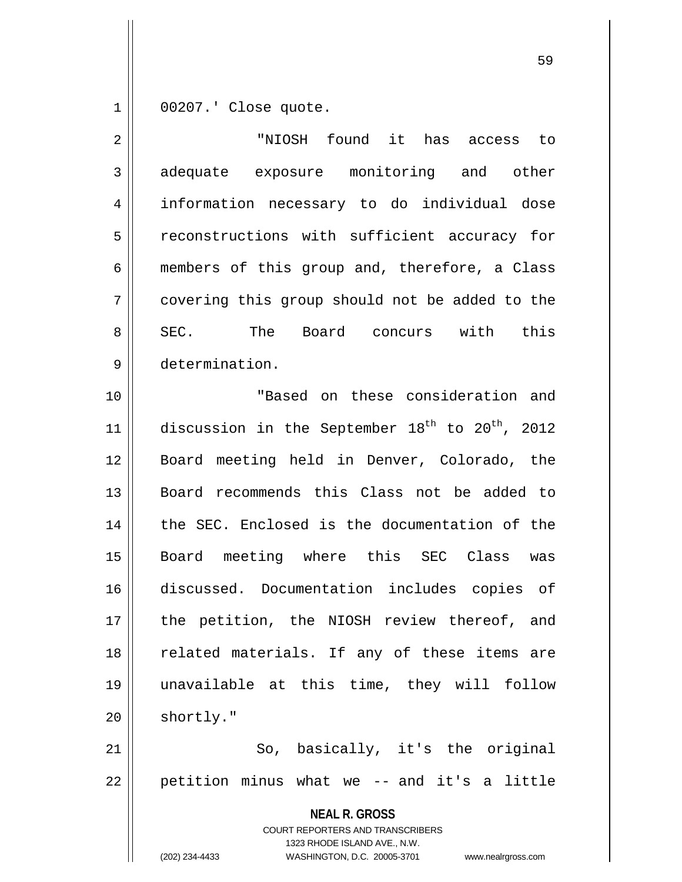1 || 00207.' Close quote.

2 "NIOSH found it has access to 3 adequate exposure monitoring and other 4 || information necessary to do individual dose 5 | reconstructions with sufficient accuracy for 6 members of this group and, therefore, a Class 7 covering this group should not be added to the 8 || SEC. The Board concurs with this 9 determination. 10 "Based on these consideration and 11  $\parallel$  discussion in the September 18<sup>th</sup> to 20<sup>th</sup>, 2012 12 Board meeting held in Denver, Colorado, the 13 Board recommends this Class not be added to 14 || the SEC. Enclosed is the documentation of the 15 Board meeting where this SEC Class was 16 discussed. Documentation includes copies of 17 || the petition, the NIOSH review thereof, and 18 || related materials. If any of these items are

19 unavailable at this time, they will follow  $20$  shortly."

 $21$   $\parallel$  So, basically, it's the original  $22$  || petition minus what we -- and it's a little

**NEAL R. GROSS**

COURT REPORTERS AND TRANSCRIBERS 1323 RHODE ISLAND AVE., N.W. (202) 234-4433 WASHINGTON, D.C. 20005-3701 www.nealrgross.com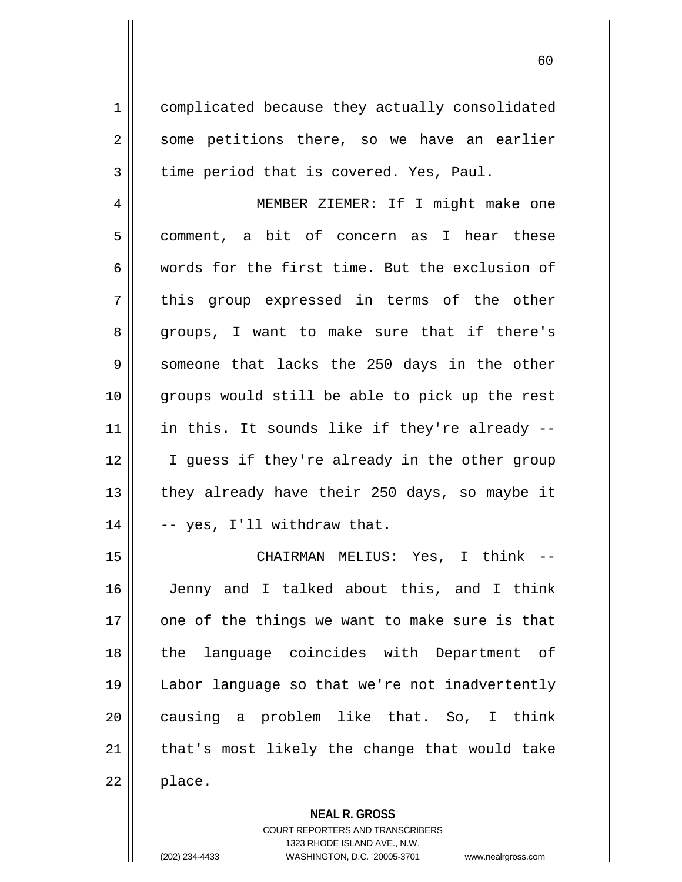1 | complicated because they actually consolidated 2 || some petitions there, so we have an earlier  $3 \parallel$  time period that is covered. Yes, Paul.

4 || MEMBER ZIEMER: If I might make one 5 comment, a bit of concern as I hear these 6 words for the first time. But the exclusion of 7 || this group expressed in terms of the other 8 groups, I want to make sure that if there's  $9 \parallel$  someone that lacks the 250 days in the other 10 groups would still be able to pick up the rest  $11$  | in this. It sounds like if they're already --12 || I guess if they're already in the other group 13  $\parallel$  they already have their 250 days, so maybe it  $14$   $\vert$  -- yes, I'll withdraw that.

 CHAIRMAN MELIUS: Yes, I think -- Jenny and I talked about this, and I think 17 || one of the things we want to make sure is that 18 || the language coincides with Department of Labor language so that we're not inadvertently causing a problem like that. So, I think | that's most likely the change that would take  $22 \parallel$  place.

**NEAL R. GROSS**

COURT REPORTERS AND TRANSCRIBERS 1323 RHODE ISLAND AVE., N.W. (202) 234-4433 WASHINGTON, D.C. 20005-3701 www.nealrgross.com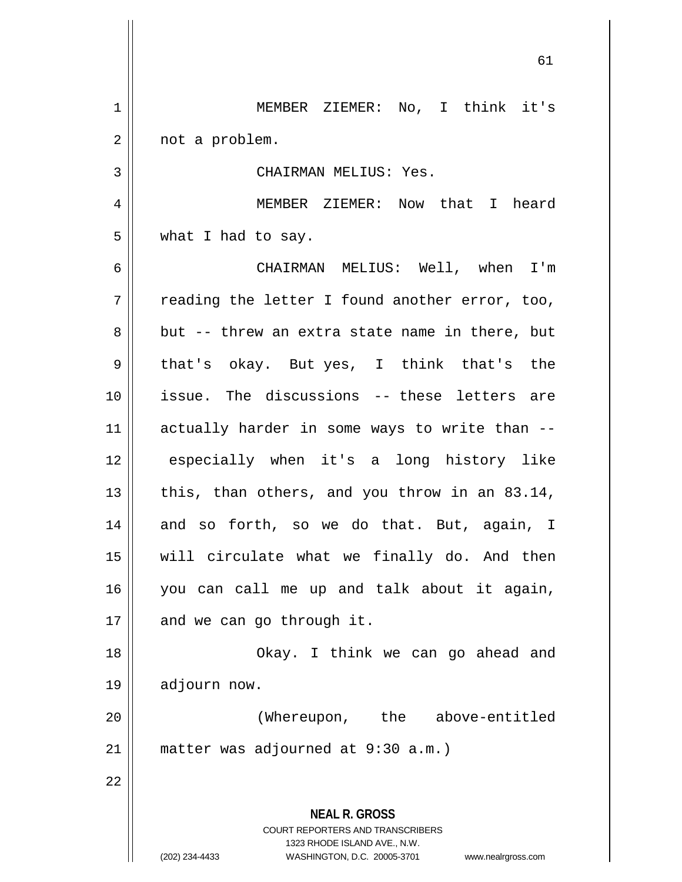**NEAL R. GROSS** COURT REPORTERS AND TRANSCRIBERS 1323 RHODE ISLAND AVE., N.W. (202) 234-4433 WASHINGTON, D.C. 20005-3701 www.nealrgross.com 1 || MEMBER ZIEMER: No, I think it's 2 | not a problem. 3 CHAIRMAN MELIUS: Yes. 4 MEMBER ZIEMER: Now that I heard  $5 \parallel$  what I had to say. 6 CHAIRMAN MELIUS: Well, when I'm  $7 \parallel$  reading the letter I found another error, too,  $8 \parallel$  but -- threw an extra state name in there, but 9 || that's okay. But yes, I think that's the 10 issue. The discussions -- these letters are 11 || actually harder in some ways to write than --12 especially when it's a long history like 13  $\parallel$  this, than others, and you throw in an 83.14,  $14$  and so forth, so we do that. But, again, I 15 will circulate what we finally do. And then 16 you can call me up and talk about it again,  $17$  | and we can go through it. 18 Okay. I think we can go ahead and 19 adjourn now. 20 (Whereupon, the above-entitled 21 matter was adjourned at 9:30 a.m.) 22